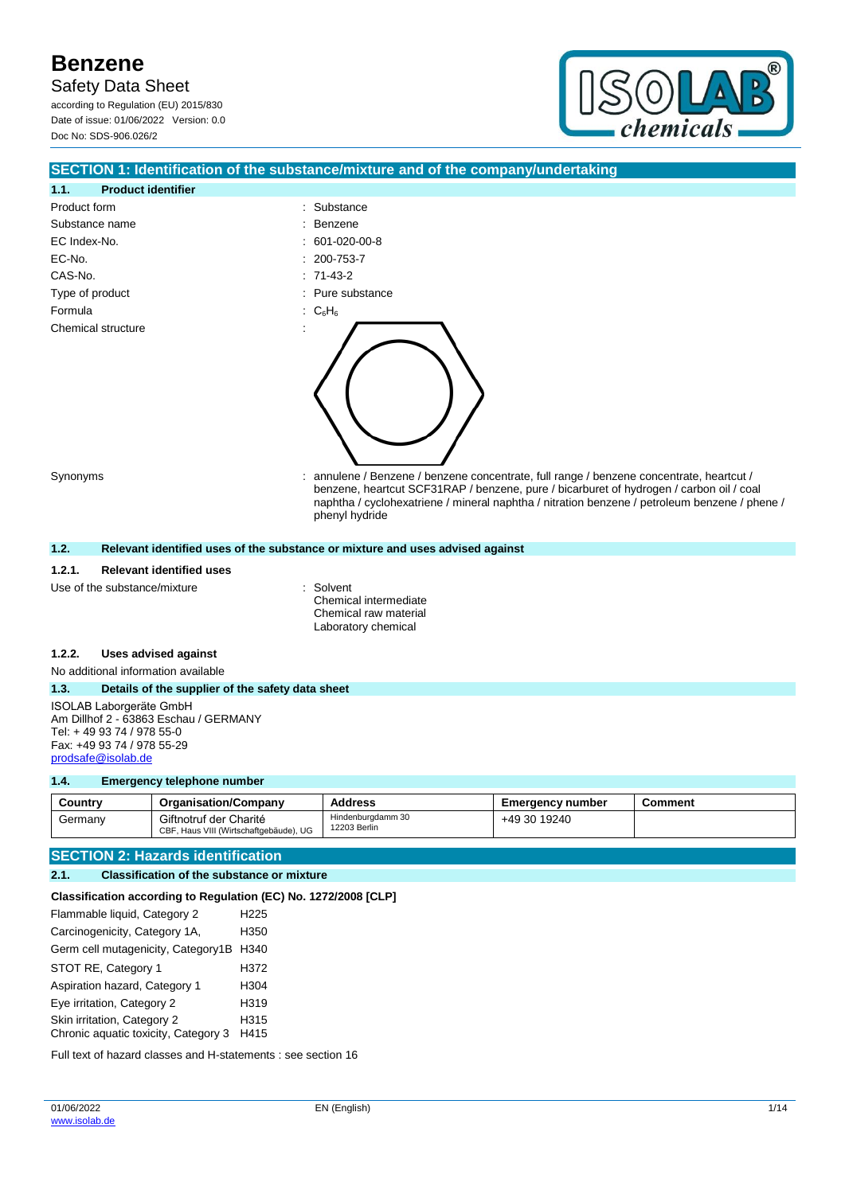Safety Data Sheet

according to Regulation (EU) 2015/830 Date of issue: 01/06/2022 Version: 0.0 Doc No: SDS-906.026/2



| SECTION 1: Identification of the substance/mixture and of the company/undertaking                                                                        |                                                                                                                                                                                                                                                                                                        |                         |                |  |
|----------------------------------------------------------------------------------------------------------------------------------------------------------|--------------------------------------------------------------------------------------------------------------------------------------------------------------------------------------------------------------------------------------------------------------------------------------------------------|-------------------------|----------------|--|
| <b>Product identifier</b><br>1.1.                                                                                                                        |                                                                                                                                                                                                                                                                                                        |                         |                |  |
| Product form                                                                                                                                             | Substance<br>$\overline{\phantom{a}}$                                                                                                                                                                                                                                                                  |                         |                |  |
| Substance name                                                                                                                                           | Benzene                                                                                                                                                                                                                                                                                                |                         |                |  |
| EC Index-No.                                                                                                                                             | 601-020-00-8                                                                                                                                                                                                                                                                                           |                         |                |  |
| EC-No.                                                                                                                                                   | 200-753-7                                                                                                                                                                                                                                                                                              |                         |                |  |
| CAS-No.                                                                                                                                                  | $: 71-43-2$                                                                                                                                                                                                                                                                                            |                         |                |  |
| Type of product                                                                                                                                          | Pure substance<br>÷                                                                                                                                                                                                                                                                                    |                         |                |  |
| Formula                                                                                                                                                  | $C_6H_6$<br>÷                                                                                                                                                                                                                                                                                          |                         |                |  |
| Chemical structure                                                                                                                                       |                                                                                                                                                                                                                                                                                                        |                         |                |  |
| Synonyms                                                                                                                                                 | : annulene / Benzene / benzene concentrate, full range / benzene concentrate, heartcut /<br>benzene, heartcut SCF31RAP / benzene, pure / bicarburet of hydrogen / carbon oil / coal<br>naphtha / cyclohexatriene / mineral naphtha / nitration benzene / petroleum benzene / phene /<br>phenyl hydride |                         |                |  |
| 1.2.<br>Relevant identified uses of the substance or mixture and uses advised against                                                                    |                                                                                                                                                                                                                                                                                                        |                         |                |  |
| 1.2.1.<br><b>Relevant identified uses</b>                                                                                                                |                                                                                                                                                                                                                                                                                                        |                         |                |  |
| Use of the substance/mixture                                                                                                                             | Solvent<br>Chemical intermediate<br>Chemical raw material<br>Laboratory chemical                                                                                                                                                                                                                       |                         |                |  |
| 1.2.2.<br>Uses advised against                                                                                                                           |                                                                                                                                                                                                                                                                                                        |                         |                |  |
| No additional information available                                                                                                                      |                                                                                                                                                                                                                                                                                                        |                         |                |  |
| 1.3.<br>Details of the supplier of the safety data sheet                                                                                                 |                                                                                                                                                                                                                                                                                                        |                         |                |  |
| <b>ISOLAB Laborgeräte GmbH</b><br>Am Dillhof 2 - 63863 Eschau / GERMANY<br>Tel: +49 93 74 / 978 55-0<br>Fax: +49 93 74 / 978 55-29<br>prodsafe@isolab.de |                                                                                                                                                                                                                                                                                                        |                         |                |  |
|                                                                                                                                                          | 1.4.<br>Emergency telephone number                                                                                                                                                                                                                                                                     |                         |                |  |
| Country<br><b>Organisation/Company</b>                                                                                                                   | <b>Address</b>                                                                                                                                                                                                                                                                                         | <b>Emergency number</b> | <b>Comment</b> |  |
| Germany<br>Giftnotruf der Charité<br>CBF, Haus VIII (Wirtschaftgebäude), UG                                                                              | Hindenburgdamm 30<br>12203 Berlin                                                                                                                                                                                                                                                                      | +49 30 19240            |                |  |

### **SECTION 2: Hazards identification**

## **2.1. Classification of the substance or mixture**

### **Classification according to Regulation (EC) No. 1272/2008 [CLP]**

| Flammable liquid, Category 2            | H <sub>225</sub> |
|-----------------------------------------|------------------|
| Carcinogenicity, Category 1A,           | H350             |
| Germ cell mutagenicity, Category1B H340 |                  |
| STOT RE, Category 1                     | H372             |
| Aspiration hazard, Category 1           | H304             |
| Eye irritation, Category 2              | H319             |
| Skin irritation, Category 2             | H315             |
| Chronic aquatic toxicity, Category 3    | H415             |

Full text of hazard classes and H-statements : see section 16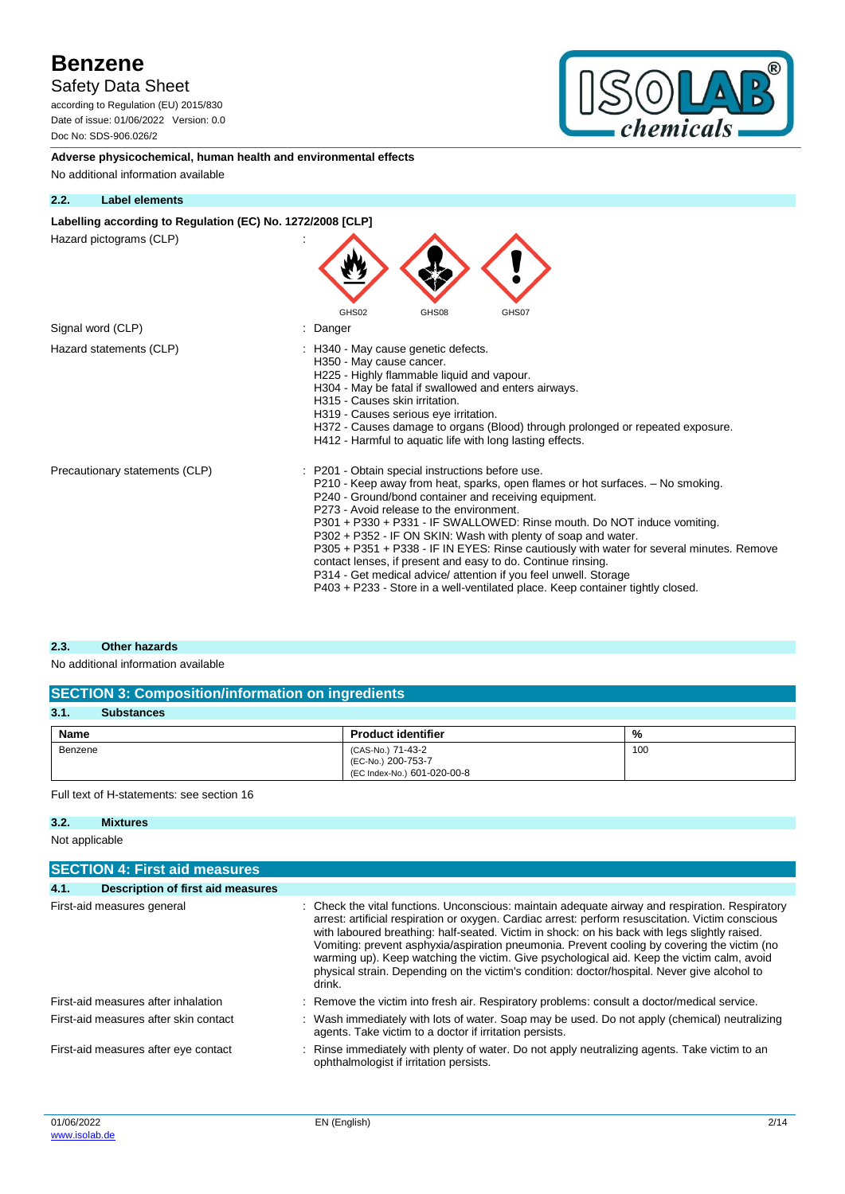Safety Data Sheet

according to Regulation (EU) 2015/830 Date of issue: 01/06/2022 Version: 0.0 Doc No: SDS-906.026/2



**Adverse physicochemical, human health and environmental effects** No additional information available

### **2.2. Label elements**

#### Labelling according to Regulation (EC) No. 1272/2008 [CLP]

Hazard pictograms (CLP) :



### **2.3. Other hazards**

#### No additional information available

| <b>SECTION 3: Composition/information on ingredients</b> |                                                                        |     |  |  |
|----------------------------------------------------------|------------------------------------------------------------------------|-----|--|--|
| 3.1.<br><b>Substances</b>                                |                                                                        |     |  |  |
| Name                                                     | <b>Product identifier</b>                                              | %   |  |  |
| Benzene                                                  | (CAS-No.) 71-43-2<br>(EC-No.) 200-753-7<br>(EC Index-No.) 601-020-00-8 | 100 |  |  |

#### Full text of H-statements: see section 16

### **3.2. Mixtures**

Not applicable

| <b>SECTION 4: First aid measures</b>                                                                                                                                                                                                                                                                                                                                                                                                                                                                                                                                                                         |
|--------------------------------------------------------------------------------------------------------------------------------------------------------------------------------------------------------------------------------------------------------------------------------------------------------------------------------------------------------------------------------------------------------------------------------------------------------------------------------------------------------------------------------------------------------------------------------------------------------------|
| <b>Description of first aid measures</b>                                                                                                                                                                                                                                                                                                                                                                                                                                                                                                                                                                     |
| : Check the vital functions. Unconscious: maintain adequate airway and respiration. Respiratory<br>arrest: artificial respiration or oxygen. Cardiac arrest: perform resuscitation. Victim conscious<br>with laboured breathing: half-seated. Victim in shock: on his back with legs slightly raised.<br>Vomiting: prevent asphyxia/aspiration pneumonia. Prevent cooling by covering the victim (no<br>warming up). Keep watching the victim. Give psychological aid. Keep the victim calm, avoid<br>physical strain. Depending on the victim's condition: doctor/hospital. Never give alcohol to<br>drink. |
| : Remove the victim into fresh air. Respiratory problems: consult a doctor/medical service.                                                                                                                                                                                                                                                                                                                                                                                                                                                                                                                  |
| : Wash immediately with lots of water. Soap may be used. Do not apply (chemical) neutralizing<br>agents. Take victim to a doctor if irritation persists.                                                                                                                                                                                                                                                                                                                                                                                                                                                     |
| Rinse immediately with plenty of water. Do not apply neutralizing agents. Take victim to an<br>ophthalmologist if irritation persists.                                                                                                                                                                                                                                                                                                                                                                                                                                                                       |
|                                                                                                                                                                                                                                                                                                                                                                                                                                                                                                                                                                                                              |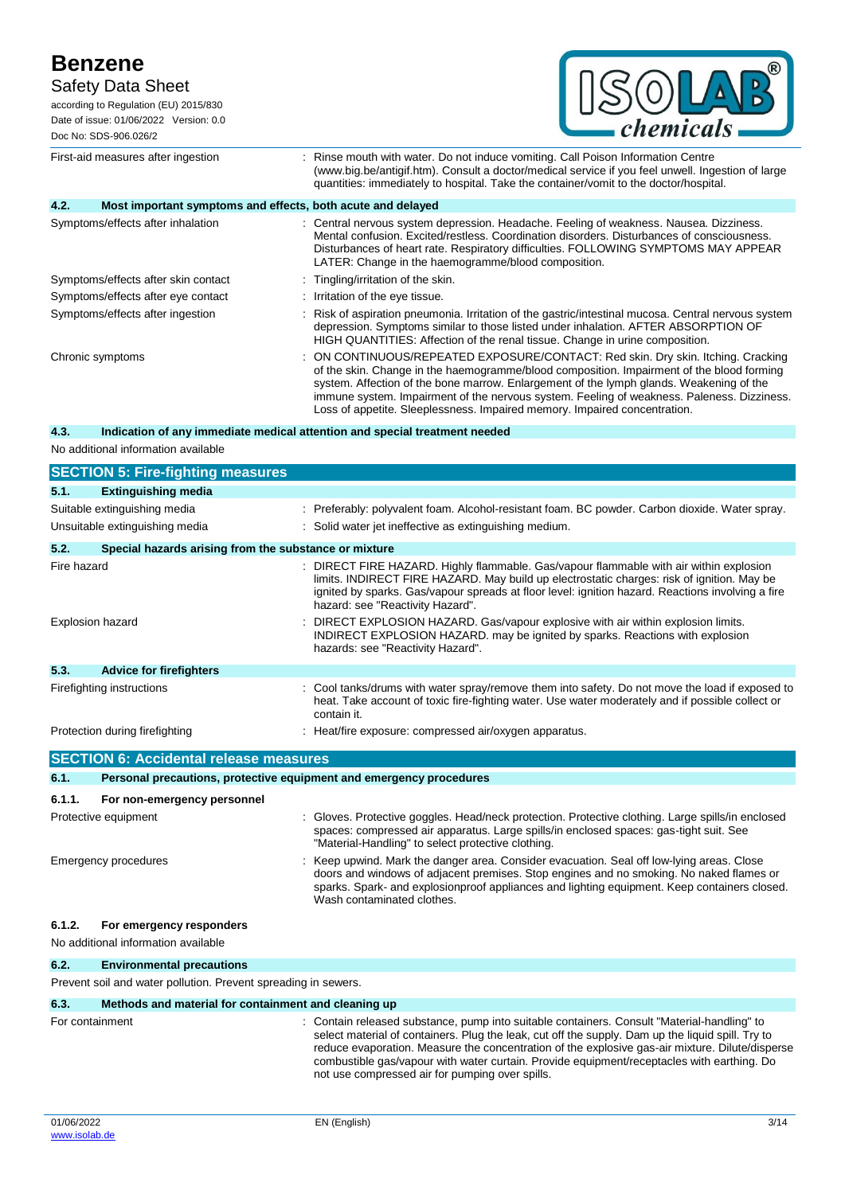| <b>Safety Data Sheet</b> |  |
|--------------------------|--|
|--------------------------|--|

Safety Data Sheet according to Regulation (EU) 2015/830 Date of issue: 01/06/2022 Version: 0.0 Doc No: SDS-906.026/2 First-aid measures after ingestion : Rinse mouth with water. Do not induce vomiting. Call Poison Information Centre (www.big.be/antigif.htm). Consult a doctor/medical service if you feel unwell. Ingestion of large quantities: immediately to hospital. Take the container/vomit to the doctor/hospital. **4.2. Most important symptoms and effects, both acute and delayed** Symptoms/effects after inhalation : Central nervous system depression. Headache. Feeling of weakness. Nausea. Dizziness. Mental confusion. Excited/restless. Coordination disorders. Disturbances of consciousness. Disturbances of heart rate. Respiratory difficulties. FOLLOWING SYMPTOMS MAY APPEAR LATER: Change in the haemogramme/blood composition. Symptoms/effects after skin contact : Tingling/irritation of the skin. Symptoms/effects after eye contact : Irritation of the eye tissue. Symptoms/effects after ingestion : Risk of aspiration pneumonia. Irritation of the gastric/intestinal mucosa. Central nervous system depression. Symptoms similar to those listed under inhalation. AFTER ABSORPTION OF HIGH QUANTITIES: Affection of the renal tissue. Change in urine composition. Chronic symptoms : ON CONTINUOUS/REPEATED EXPOSURE/CONTACT: Red skin. Dry skin. Itching. Cracking of the skin. Change in the haemogramme/blood composition. Impairment of the blood forming system. Affection of the bone marrow. Enlargement of the lymph glands. Weakening of the immune system. Impairment of the nervous system. Feeling of weakness. Paleness. Dizziness. Loss of appetite. Sleeplessness. Impaired memory. Impaired concentration.

### **4.3. Indication of any immediate medical attention and special treatment needed**

No additional information available

|                         | <b>SECTION 5: Fire-fighting measures</b>                                        |                                                                                                                                                                                                                                                                                                                               |
|-------------------------|---------------------------------------------------------------------------------|-------------------------------------------------------------------------------------------------------------------------------------------------------------------------------------------------------------------------------------------------------------------------------------------------------------------------------|
| 5.1.                    | <b>Extinguishing media</b>                                                      |                                                                                                                                                                                                                                                                                                                               |
|                         | Suitable extinguishing media                                                    | : Preferably: polyvalent foam. Alcohol-resistant foam. BC powder. Carbon dioxide. Water spray.                                                                                                                                                                                                                                |
|                         | Unsuitable extinguishing media                                                  | : Solid water jet ineffective as extinguishing medium.                                                                                                                                                                                                                                                                        |
| 5.2.                    | Special hazards arising from the substance or mixture                           |                                                                                                                                                                                                                                                                                                                               |
| Fire hazard             |                                                                                 | : DIRECT FIRE HAZARD. Highly flammable. Gas/vapour flammable with air within explosion<br>limits. INDIRECT FIRE HAZARD. May build up electrostatic charges: risk of ignition. May be<br>ignited by sparks. Gas/vapour spreads at floor level: ignition hazard. Reactions involving a fire<br>hazard: see "Reactivity Hazard". |
| <b>Explosion hazard</b> |                                                                                 | DIRECT EXPLOSION HAZARD. Gas/vapour explosive with air within explosion limits.<br>INDIRECT EXPLOSION HAZARD, may be ignited by sparks. Reactions with explosion<br>hazards: see "Reactivity Hazard".                                                                                                                         |
| 5.3.                    | <b>Advice for firefighters</b>                                                  |                                                                                                                                                                                                                                                                                                                               |
|                         | Firefighting instructions                                                       | : Cool tanks/drums with water spray/remove them into safety. Do not move the load if exposed to<br>heat. Take account of toxic fire-fighting water. Use water moderately and if possible collect or<br>contain it.                                                                                                            |
|                         | Protection during firefighting                                                  | : Heat/fire exposure: compressed air/oxygen apparatus.                                                                                                                                                                                                                                                                        |
|                         | <b>SECTION 6: Accidental release measures</b>                                   |                                                                                                                                                                                                                                                                                                                               |
| 6.1.                    | Personal precautions, protective equipment and emergency procedures             |                                                                                                                                                                                                                                                                                                                               |
| 6.1.1.                  | For non-emergency personnel                                                     |                                                                                                                                                                                                                                                                                                                               |
|                         | Protective equipment                                                            | Gloves. Protective goggles. Head/neck protection. Protective clothing. Large spills/in enclosed<br>spaces: compressed air apparatus. Large spills/in enclosed spaces: gas-tight suit. See<br>"Material-Handling" to select protective clothing.                                                                               |
|                         | <b>Emergency procedures</b>                                                     | Keep upwind. Mark the danger area. Consider evacuation. Seal off low-lying areas. Close<br>doors and windows of adjacent premises. Stop engines and no smoking. No naked flames or<br>sparks. Spark- and explosionproof appliances and lighting equipment. Keep containers closed.<br>Wash contaminated clothes.              |
| 6.1.2.                  | For emergency responders                                                        |                                                                                                                                                                                                                                                                                                                               |
|                         | No additional information available                                             |                                                                                                                                                                                                                                                                                                                               |
| 6.2.                    | <b>Environmental precautions</b>                                                |                                                                                                                                                                                                                                                                                                                               |
|                         | the contract of the contract of the contract of the contract of the contract of |                                                                                                                                                                                                                                                                                                                               |

Prevent soil and water pollution. Prevent spreading in sewers.

| 6.3.            | Methods and material for containment and cleaning up |                                                                                                                                                                                                                                                                                                                                                                                                                                                      |
|-----------------|------------------------------------------------------|------------------------------------------------------------------------------------------------------------------------------------------------------------------------------------------------------------------------------------------------------------------------------------------------------------------------------------------------------------------------------------------------------------------------------------------------------|
| For containment |                                                      | : Contain released substance, pump into suitable containers. Consult "Material-handling" to<br>select material of containers. Plug the leak, cut off the supply. Dam up the liquid spill. Try to<br>reduce evaporation. Measure the concentration of the explosive gas-air mixture. Dilute/disperse<br>combustible gas/vapour with water curtain. Provide equipment/receptacles with earthing. Do<br>not use compressed air for pumping over spills. |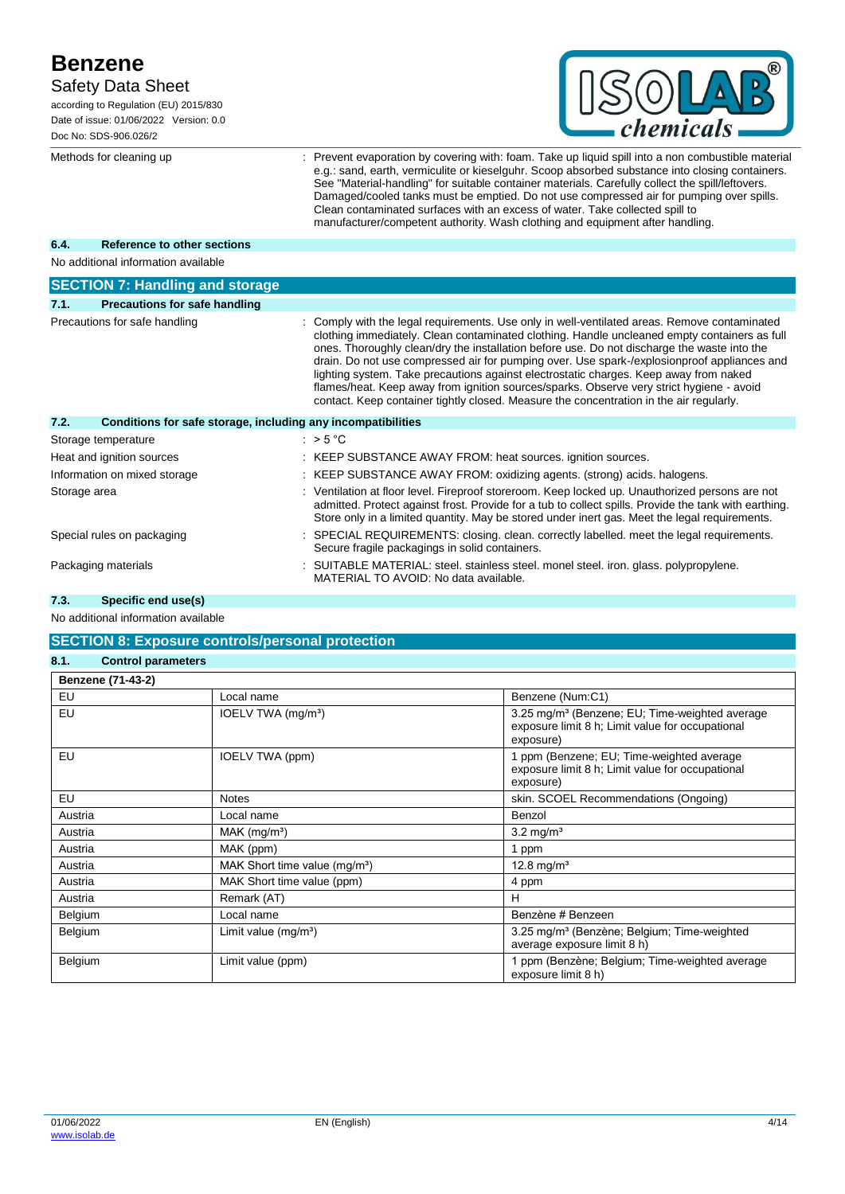## Safety Data Sheet

according to Regulation (EU) 2015/830 Date of issue: 01/06/2022 Version: 0.0 Doc No: SDS-906.026/2 Methods for cleaning up **interpret in the Verantia**: Prevent evaporation by covering with: foam. Take up liquid spill into a non combustible material e.g.: sand, earth, vermiculite or kieselguhr. Scoop absorbed substance into closing containers. See "Material-handling" for suitable container materials. Carefully collect the spill/leftovers. Damaged/cooled tanks must be emptied. Do not use compressed air for pumping over spills. Clean contaminated surfaces with an excess of water. Take collected spill to manufacturer/competent authority. Wash clothing and equipment after handling. **6.4. Reference to other sections** No additional information available **SECTION 7: Handling and storage 7.1. Precautions for safe handling** Precautions for safe handling example of the comply with the legal requirements. Use only in well-ventilated areas. Remove contaminated clothing immediately. Clean contaminated clothing. Handle uncleaned empty containers as full ones. Thoroughly clean/dry the installation before use. Do not discharge the waste into the drain. Do not use compressed air for pumping over. Use spark-/explosionproof appliances and lighting system. Take precautions against electrostatic charges. Keep away from naked flames/heat. Keep away from ignition sources/sparks. Observe very strict hygiene - avoid contact. Keep container tightly closed. Measure the concentration in the air regularly. **7.2. Conditions for safe storage, including any incompatibilities** Storage temperature : > 5 °C Heat and ignition sources : KEEP SUBSTANCE AWAY FROM: heat sources. ignition sources. Information on mixed storage : KEEP SUBSTANCE AWAY FROM: oxidizing agents. (strong) acids. halogens. Storage area : Ventilation at floor level. Fireproof storeroom. Keep locked up. Unauthorized persons are not admitted. Protect against frost. Provide for a tub to collect spills. Provide the tank with earthing. Store only in a limited quantity. May be stored under inert gas. Meet the legal requirements. Special rules on packaging **interproduced in the SPECIAL REQUIREMENTS**: closing. clean. correctly labelled. meet the legal requirements. Secure fragile packagings in solid containers. Packaging materials **in the state of the SUITABLE MATERIAL:** steel. stainless steel. monel steel. iron. glass. polypropylene. MATERIAL TO AVOID: No data available.

## **7.3. Specific end use(s)**

No additional information available

## **SECTION 8: Exposure controls/personal protection**

# **8.1. Control parameters**

| <b>Benzene (71-43-2)</b> |                                           |                                                                                                                             |
|--------------------------|-------------------------------------------|-----------------------------------------------------------------------------------------------------------------------------|
| EU                       | Local name                                | Benzene (Num:C1)                                                                                                            |
| EU                       | IOELV TWA (mg/m <sup>3</sup> )            | 3.25 mg/m <sup>3</sup> (Benzene; EU; Time-weighted average<br>exposure limit 8 h; Limit value for occupational<br>exposure) |
| EU                       | IOELV TWA (ppm)                           | 1 ppm (Benzene; EU; Time-weighted average<br>exposure limit 8 h; Limit value for occupational<br>exposure)                  |
| EU                       | <b>Notes</b>                              | skin. SCOEL Recommendations (Ongoing)                                                                                       |
| Austria                  | Local name                                | Benzol                                                                                                                      |
| Austria                  | $MAK$ (mg/m <sup>3</sup> )                | $3.2 \text{ mg/m}^3$                                                                                                        |
| Austria                  | MAK (ppm)                                 | 1 ppm                                                                                                                       |
| Austria                  | MAK Short time value (mg/m <sup>3</sup> ) | 12.8 mg/m <sup>3</sup>                                                                                                      |
| Austria                  | MAK Short time value (ppm)                | 4 ppm                                                                                                                       |
| Austria                  | Remark (AT)                               | н                                                                                                                           |
| Belgium                  | Local name                                | Benzène # Benzeen                                                                                                           |
| Belgium                  | Limit value $(mg/m3)$                     | 3.25 mg/m <sup>3</sup> (Benzène; Belgium; Time-weighted<br>average exposure limit 8 h)                                      |
| Belgium                  | Limit value (ppm)                         | 1 ppm (Benzène; Belgium; Time-weighted average<br>exposure limit 8 h)                                                       |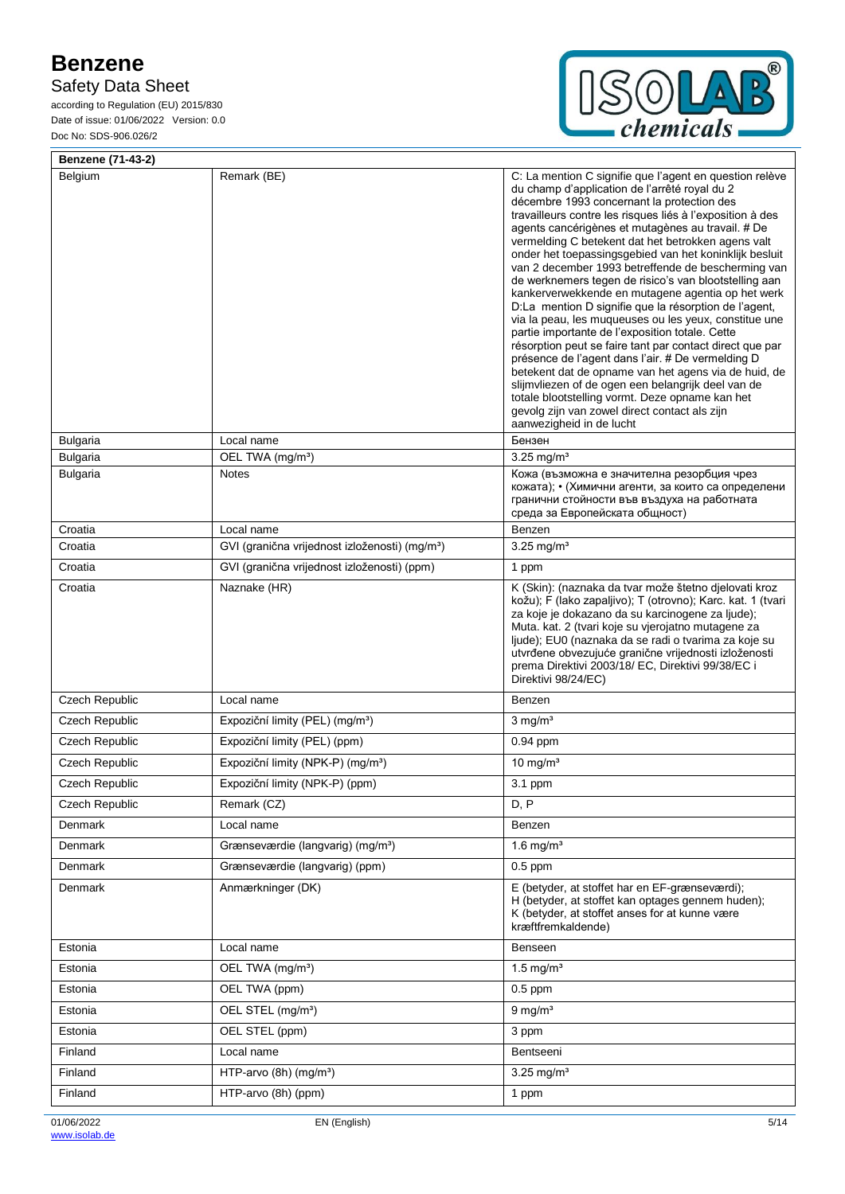# Safety Data Sheet

according to Regulation (EU) 2015/830 Date of issue: 01/06/2022 Version: 0.0 Doc No: SDS-906.026/2



| Benzene (71-43-2)                  |                                                            |                                                                                                                                                                                                                                                                                                                                                                                                                                                                                                                                                                                                                                                                                                                                                                                                                                                                                                                                                                                                                                                                                                  |
|------------------------------------|------------------------------------------------------------|--------------------------------------------------------------------------------------------------------------------------------------------------------------------------------------------------------------------------------------------------------------------------------------------------------------------------------------------------------------------------------------------------------------------------------------------------------------------------------------------------------------------------------------------------------------------------------------------------------------------------------------------------------------------------------------------------------------------------------------------------------------------------------------------------------------------------------------------------------------------------------------------------------------------------------------------------------------------------------------------------------------------------------------------------------------------------------------------------|
| Belgium                            | Remark (BE)                                                | C: La mention C signifie que l'agent en question relève<br>du champ d'application de l'arrêté royal du 2<br>décembre 1993 concernant la protection des<br>travailleurs contre les risques liés à l'exposition à des<br>agents cancérigènes et mutagènes au travail. # De<br>vermelding C betekent dat het betrokken agens valt<br>onder het toepassingsgebied van het koninklijk besluit<br>van 2 december 1993 betreffende de bescherming van<br>de werknemers tegen de risico's van blootstelling aan<br>kankerverwekkende en mutagene agentia op het werk<br>D:La mention D signifie que la résorption de l'agent,<br>via la peau, les muqueuses ou les yeux, constitue une<br>partie importante de l'exposition totale. Cette<br>résorption peut se faire tant par contact direct que par<br>présence de l'agent dans l'air. # De vermelding D<br>betekent dat de opname van het agens via de huid, de<br>slijmvliezen of de ogen een belangrijk deel van de<br>totale blootstelling vormt. Deze opname kan het<br>gevolg zijn van zowel direct contact als zijn<br>aanwezigheid in de lucht |
| <b>Bulgaria</b>                    | Local name                                                 | Бензен                                                                                                                                                                                                                                                                                                                                                                                                                                                                                                                                                                                                                                                                                                                                                                                                                                                                                                                                                                                                                                                                                           |
| <b>Bulgaria</b><br><b>Bulgaria</b> | OEL TWA (mg/m <sup>3</sup> )<br>Notes                      | $3.25$ mg/m <sup>3</sup><br>Кожа (възможна е значителна резорбция чрез<br>кожата); • (Химични агенти, за които са определени<br>гранични стойности във въздуха на работната<br>среда за Европейската общност)                                                                                                                                                                                                                                                                                                                                                                                                                                                                                                                                                                                                                                                                                                                                                                                                                                                                                    |
| Croatia                            | Local name                                                 | Benzen                                                                                                                                                                                                                                                                                                                                                                                                                                                                                                                                                                                                                                                                                                                                                                                                                                                                                                                                                                                                                                                                                           |
| Croatia                            | GVI (granična vrijednost izloženosti) (mg/m <sup>3</sup> ) | $3.25$ mg/m <sup>3</sup>                                                                                                                                                                                                                                                                                                                                                                                                                                                                                                                                                                                                                                                                                                                                                                                                                                                                                                                                                                                                                                                                         |
| Croatia                            | GVI (granična vrijednost izloženosti) (ppm)                | 1 ppm                                                                                                                                                                                                                                                                                                                                                                                                                                                                                                                                                                                                                                                                                                                                                                                                                                                                                                                                                                                                                                                                                            |
| Croatia                            | Naznake (HR)                                               | K (Skin): (naznaka da tvar može štetno djelovati kroz<br>kožu); F (lako zapaljivo); T (otrovno); Karc. kat. 1 (tvari<br>za koje je dokazano da su karcinogene za ljude);<br>Muta. kat. 2 (tvari koje su vjerojatno mutagene za<br>ljude); EU0 (naznaka da se radi o tvarima za koje su<br>utvrđene obvezujuće granične vrijednosti izloženosti<br>prema Direktivi 2003/18/ EC, Direktivi 99/38/EC i<br>Direktivi 98/24/EC)                                                                                                                                                                                                                                                                                                                                                                                                                                                                                                                                                                                                                                                                       |
| Czech Republic                     | Local name                                                 | Benzen                                                                                                                                                                                                                                                                                                                                                                                                                                                                                                                                                                                                                                                                                                                                                                                                                                                                                                                                                                                                                                                                                           |
| <b>Czech Republic</b>              | Expoziční limity (PEL) (mg/m <sup>3</sup> )                | $3$ mg/m <sup>3</sup>                                                                                                                                                                                                                                                                                                                                                                                                                                                                                                                                                                                                                                                                                                                                                                                                                                                                                                                                                                                                                                                                            |
| Czech Republic                     | Expoziční limity (PEL) (ppm)                               | $0.94$ ppm                                                                                                                                                                                                                                                                                                                                                                                                                                                                                                                                                                                                                                                                                                                                                                                                                                                                                                                                                                                                                                                                                       |
| <b>Czech Republic</b>              | Expoziční limity (NPK-P) (mg/m <sup>3</sup> )              | 10 mg/ $m3$                                                                                                                                                                                                                                                                                                                                                                                                                                                                                                                                                                                                                                                                                                                                                                                                                                                                                                                                                                                                                                                                                      |
| <b>Czech Republic</b>              | Expoziční limity (NPK-P) (ppm)                             | 3.1 ppm                                                                                                                                                                                                                                                                                                                                                                                                                                                                                                                                                                                                                                                                                                                                                                                                                                                                                                                                                                                                                                                                                          |
| Czech Republic                     | Remark (CZ)                                                | D, P                                                                                                                                                                                                                                                                                                                                                                                                                                                                                                                                                                                                                                                                                                                                                                                                                                                                                                                                                                                                                                                                                             |
| Denmark                            | Local name                                                 | Benzen                                                                                                                                                                                                                                                                                                                                                                                                                                                                                                                                                                                                                                                                                                                                                                                                                                                                                                                                                                                                                                                                                           |
| Denmark                            | Grænseværdie (langvarig) (mg/m <sup>3</sup> )              | 1.6 mg/ $m3$                                                                                                                                                                                                                                                                                                                                                                                                                                                                                                                                                                                                                                                                                                                                                                                                                                                                                                                                                                                                                                                                                     |
| Denmark                            | Grænseværdie (langvarig) (ppm)                             | $0.5$ ppm                                                                                                                                                                                                                                                                                                                                                                                                                                                                                                                                                                                                                                                                                                                                                                                                                                                                                                                                                                                                                                                                                        |
| Denmark                            | Anmærkninger (DK)                                          | E (betyder, at stoffet har en EF-grænseværdi);<br>H (betyder, at stoffet kan optages gennem huden);<br>K (betyder, at stoffet anses for at kunne være<br>kræftfremkaldende)                                                                                                                                                                                                                                                                                                                                                                                                                                                                                                                                                                                                                                                                                                                                                                                                                                                                                                                      |
| Estonia                            | Local name                                                 | Benseen                                                                                                                                                                                                                                                                                                                                                                                                                                                                                                                                                                                                                                                                                                                                                                                                                                                                                                                                                                                                                                                                                          |
| Estonia                            | OEL TWA (mg/m <sup>3</sup> )                               | $1.5$ mg/m <sup>3</sup>                                                                                                                                                                                                                                                                                                                                                                                                                                                                                                                                                                                                                                                                                                                                                                                                                                                                                                                                                                                                                                                                          |
| Estonia                            | OEL TWA (ppm)                                              | $0.5$ ppm                                                                                                                                                                                                                                                                                                                                                                                                                                                                                                                                                                                                                                                                                                                                                                                                                                                                                                                                                                                                                                                                                        |
| Estonia                            | OEL STEL (mg/m <sup>3</sup> )                              | $9$ mg/m <sup>3</sup>                                                                                                                                                                                                                                                                                                                                                                                                                                                                                                                                                                                                                                                                                                                                                                                                                                                                                                                                                                                                                                                                            |
| Estonia                            | OEL STEL (ppm)                                             | 3 ppm                                                                                                                                                                                                                                                                                                                                                                                                                                                                                                                                                                                                                                                                                                                                                                                                                                                                                                                                                                                                                                                                                            |
| Finland                            | Local name                                                 | Bentseeni                                                                                                                                                                                                                                                                                                                                                                                                                                                                                                                                                                                                                                                                                                                                                                                                                                                                                                                                                                                                                                                                                        |
| Finland                            | HTP-arvo (8h) (mg/m <sup>3</sup> )                         | $3.25$ mg/m <sup>3</sup>                                                                                                                                                                                                                                                                                                                                                                                                                                                                                                                                                                                                                                                                                                                                                                                                                                                                                                                                                                                                                                                                         |
| Finland                            | HTP-arvo (8h) (ppm)                                        | 1 ppm                                                                                                                                                                                                                                                                                                                                                                                                                                                                                                                                                                                                                                                                                                                                                                                                                                                                                                                                                                                                                                                                                            |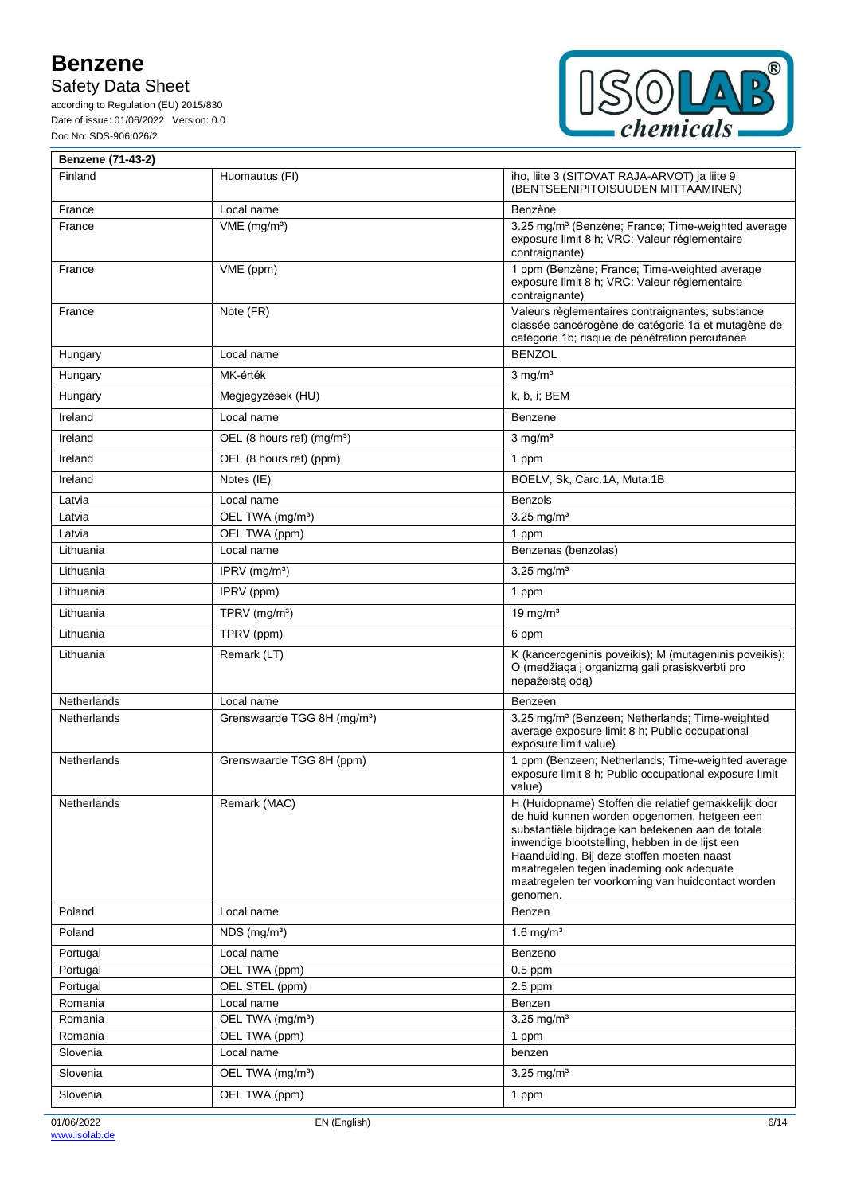# Safety Data Sheet

according to Regulation (EU) 2015/830 Date of issue: 01/06/2022 Version: 0.0 Doc No: SDS-906.026/2



| Benzene (71-43-2) |                                               |                                                                                                                                                                                                                                                                                                                                                                         |
|-------------------|-----------------------------------------------|-------------------------------------------------------------------------------------------------------------------------------------------------------------------------------------------------------------------------------------------------------------------------------------------------------------------------------------------------------------------------|
| Finland           | Huomautus (FI)                                | iho, liite 3 (SITOVAT RAJA-ARVOT) ja liite 9<br>(BENTSEENIPITOISUUDEN MITTAAMINEN)                                                                                                                                                                                                                                                                                      |
| France            | Local name                                    | Benzène                                                                                                                                                                                                                                                                                                                                                                 |
| France            | $VME$ (mg/m <sup>3</sup> )                    | 3.25 mg/m <sup>3</sup> (Benzène; France; Time-weighted average<br>exposure limit 8 h; VRC: Valeur réglementaire<br>contraignante)                                                                                                                                                                                                                                       |
| France            | VME (ppm)                                     | 1 ppm (Benzène; France; Time-weighted average<br>exposure limit 8 h; VRC: Valeur réglementaire<br>contraignante)                                                                                                                                                                                                                                                        |
| France            | Note (FR)                                     | Valeurs règlementaires contraignantes; substance<br>classée cancérogène de catégorie 1a et mutagène de<br>catégorie 1b; risque de pénétration percutanée                                                                                                                                                                                                                |
| Hungary           | Local name                                    | <b>BENZOL</b>                                                                                                                                                                                                                                                                                                                                                           |
| Hungary           | MK-érték                                      | $3$ mg/m <sup>3</sup>                                                                                                                                                                                                                                                                                                                                                   |
| Hungary           | Megjegyzések (HU)                             | k, b, i; BEM                                                                                                                                                                                                                                                                                                                                                            |
| Ireland           | Local name                                    | Benzene                                                                                                                                                                                                                                                                                                                                                                 |
| Ireland           | OEL (8 hours ref) (mg/m <sup>3</sup> )        | $3$ mg/m <sup>3</sup>                                                                                                                                                                                                                                                                                                                                                   |
| Ireland           | OEL (8 hours ref) (ppm)                       | 1 ppm                                                                                                                                                                                                                                                                                                                                                                   |
|                   | Notes (IE)                                    | BOELV, Sk, Carc.1A, Muta.1B                                                                                                                                                                                                                                                                                                                                             |
| Ireland           |                                               |                                                                                                                                                                                                                                                                                                                                                                         |
| Latvia<br>Latvia  | Local name                                    | <b>Benzols</b>                                                                                                                                                                                                                                                                                                                                                          |
| Latvia            | OEL TWA (mg/m <sup>3</sup> )<br>OEL TWA (ppm) | $3.25$ mg/m <sup>3</sup><br>1 ppm                                                                                                                                                                                                                                                                                                                                       |
| Lithuania         | Local name                                    | Benzenas (benzolas)                                                                                                                                                                                                                                                                                                                                                     |
| Lithuania         | $IPRV$ (mg/m <sup>3</sup> )                   | $3.25$ mg/m <sup>3</sup>                                                                                                                                                                                                                                                                                                                                                |
| Lithuania         | IPRV (ppm)                                    | 1 ppm                                                                                                                                                                                                                                                                                                                                                                   |
| Lithuania         |                                               |                                                                                                                                                                                                                                                                                                                                                                         |
|                   | TPRV $(mg/m3)$                                | 19 mg/ $m3$                                                                                                                                                                                                                                                                                                                                                             |
| Lithuania         | TPRV (ppm)                                    | 6 ppm                                                                                                                                                                                                                                                                                                                                                                   |
| Lithuania         | Remark (LT)                                   | K (kancerogeninis poveikis); M (mutageninis poveikis);<br>O (medžiaga į organizmą gali prasiskverbti pro<br>nepažeistą odą)                                                                                                                                                                                                                                             |
| Netherlands       | Local name                                    | Benzeen                                                                                                                                                                                                                                                                                                                                                                 |
| Netherlands       | Grenswaarde TGG 8H (mq/m <sup>3</sup> )       | 3.25 mg/m <sup>3</sup> (Benzeen; Netherlands; Time-weighted<br>average exposure limit 8 h; Public occupational<br>exposure limit value)                                                                                                                                                                                                                                 |
| Netherlands       | Grenswaarde TGG 8H (ppm)                      | 1 ppm (Benzeen; Netherlands; Time-weighted average<br>exposure limit 8 h; Public occupational exposure limit<br>value)                                                                                                                                                                                                                                                  |
| Netherlands       | Remark (MAC)                                  | H (Huidopname) Stoffen die relatief gemakkelijk door<br>de huid kunnen worden opgenomen, hetgeen een<br>substantiële bijdrage kan betekenen aan de totale<br>inwendige blootstelling, hebben in de lijst een<br>Haanduiding. Bij deze stoffen moeten naast<br>maatregelen tegen inademing ook adequate<br>maatregelen ter voorkoming van huidcontact worden<br>genomen. |
| Poland            | Local name                                    | Benzen                                                                                                                                                                                                                                                                                                                                                                  |
| Poland            | NDS (mg/m <sup>3</sup> )                      | 1.6 mg/ $m3$                                                                                                                                                                                                                                                                                                                                                            |
| Portugal          | Local name                                    | Benzeno                                                                                                                                                                                                                                                                                                                                                                 |
| Portugal          | OEL TWA (ppm)                                 | $0.5$ ppm                                                                                                                                                                                                                                                                                                                                                               |
| Portugal          | OEL STEL (ppm)                                | $2.5$ ppm                                                                                                                                                                                                                                                                                                                                                               |
| Romania           | Local name                                    | Benzen                                                                                                                                                                                                                                                                                                                                                                  |
| Romania           | OEL TWA (mg/m <sup>3</sup> )                  | 3.25 mg/ $m^3$                                                                                                                                                                                                                                                                                                                                                          |
| Romania           | OEL TWA (ppm)                                 | 1 ppm                                                                                                                                                                                                                                                                                                                                                                   |
| Slovenia          | Local name                                    | benzen                                                                                                                                                                                                                                                                                                                                                                  |
| Slovenia          | OEL TWA (mg/m <sup>3</sup> )                  | $3.25$ mg/m <sup>3</sup>                                                                                                                                                                                                                                                                                                                                                |
| Slovenia          | OEL TWA (ppm)                                 | 1 ppm                                                                                                                                                                                                                                                                                                                                                                   |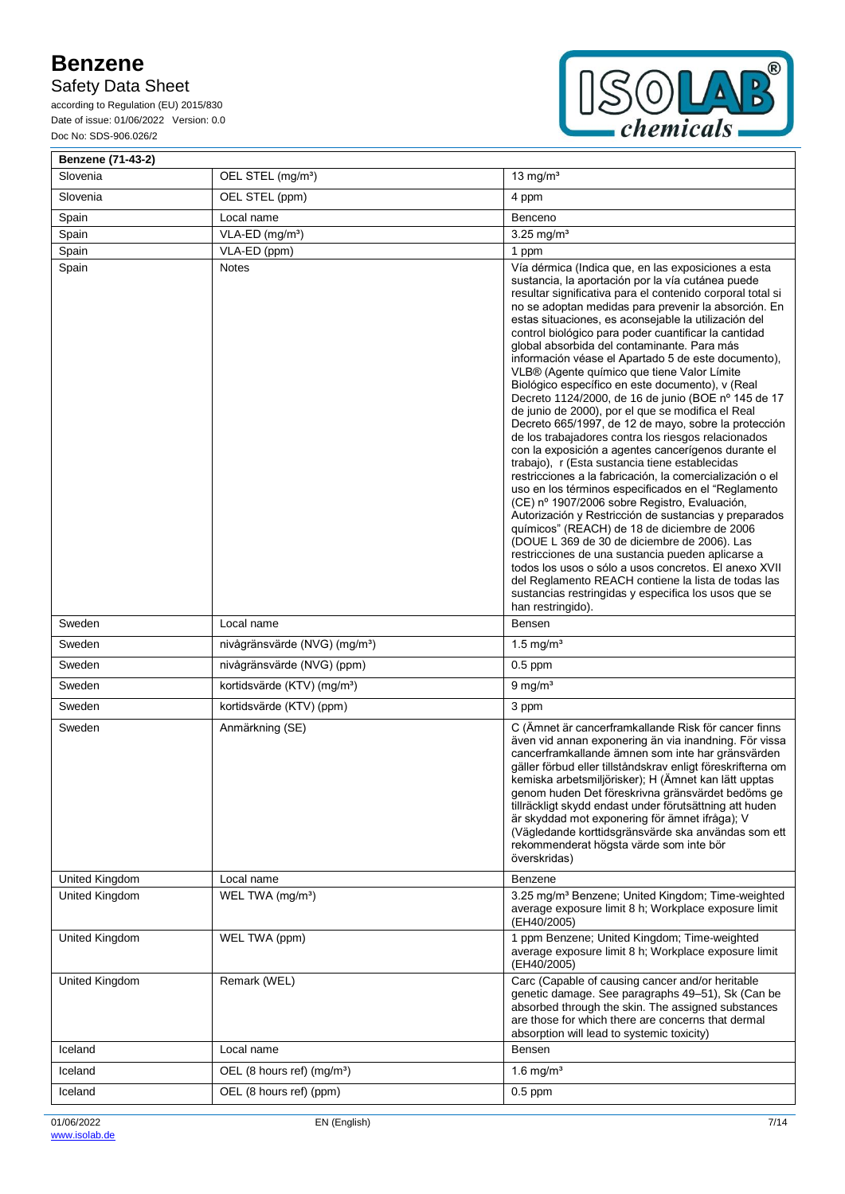# Safety Data Sheet

according to Regulation (EU) 2015/830 Date of issue: 01/06/2022 Version: 0.0 Doc No: SDS-906.026/2



| Benzene (71-43-2) |                                           |                                                                                                                                                                                                                                                                                                                                                                                                                                                                                                                                                                                                                                                                                                                                                                                                                                                                                                                                                                                                                                                                                                                                                                                                                                                                                                                                                                                                                                                                             |
|-------------------|-------------------------------------------|-----------------------------------------------------------------------------------------------------------------------------------------------------------------------------------------------------------------------------------------------------------------------------------------------------------------------------------------------------------------------------------------------------------------------------------------------------------------------------------------------------------------------------------------------------------------------------------------------------------------------------------------------------------------------------------------------------------------------------------------------------------------------------------------------------------------------------------------------------------------------------------------------------------------------------------------------------------------------------------------------------------------------------------------------------------------------------------------------------------------------------------------------------------------------------------------------------------------------------------------------------------------------------------------------------------------------------------------------------------------------------------------------------------------------------------------------------------------------------|
| Slovenia          | OEL STEL (mg/m <sup>3</sup> )             | 13 mg/ $m3$                                                                                                                                                                                                                                                                                                                                                                                                                                                                                                                                                                                                                                                                                                                                                                                                                                                                                                                                                                                                                                                                                                                                                                                                                                                                                                                                                                                                                                                                 |
| Slovenia          | OEL STEL (ppm)                            | 4 ppm                                                                                                                                                                                                                                                                                                                                                                                                                                                                                                                                                                                                                                                                                                                                                                                                                                                                                                                                                                                                                                                                                                                                                                                                                                                                                                                                                                                                                                                                       |
| Spain             | Local name                                | Benceno                                                                                                                                                                                                                                                                                                                                                                                                                                                                                                                                                                                                                                                                                                                                                                                                                                                                                                                                                                                                                                                                                                                                                                                                                                                                                                                                                                                                                                                                     |
| Spain             | VLA-ED (mg/m <sup>3</sup> )               | $3.25$ mg/m <sup>3</sup>                                                                                                                                                                                                                                                                                                                                                                                                                                                                                                                                                                                                                                                                                                                                                                                                                                                                                                                                                                                                                                                                                                                                                                                                                                                                                                                                                                                                                                                    |
| Spain             | VLA-ED (ppm)                              | 1 ppm                                                                                                                                                                                                                                                                                                                                                                                                                                                                                                                                                                                                                                                                                                                                                                                                                                                                                                                                                                                                                                                                                                                                                                                                                                                                                                                                                                                                                                                                       |
| Spain             | <b>Notes</b>                              | Vía dérmica (Indica que, en las exposiciones a esta<br>sustancia, la aportación por la vía cutánea puede<br>resultar significativa para el contenido corporal total si<br>no se adoptan medidas para prevenir la absorción. En<br>estas situaciones, es aconsejable la utilización del<br>control biológico para poder cuantificar la cantidad<br>global absorbida del contaminante. Para más<br>información véase el Apartado 5 de este documento),<br>VLB® (Agente químico que tiene Valor Límite<br>Biológico específico en este documento), v (Real<br>Decreto 1124/2000, de 16 de junio (BOE nº 145 de 17<br>de junio de 2000), por el que se modifica el Real<br>Decreto 665/1997, de 12 de mayo, sobre la protección<br>de los trabajadores contra los riesgos relacionados<br>con la exposición a agentes cancerígenos durante el<br>trabajo), r (Esta sustancia tiene establecidas<br>restricciones a la fabricación, la comercialización o el<br>uso en los términos especificados en el "Reglamento"<br>(CE) nº 1907/2006 sobre Registro, Evaluación,<br>Autorización y Restricción de sustancias y preparados<br>químicos" (REACH) de 18 de diciembre de 2006<br>(DOUE L 369 de 30 de diciembre de 2006). Las<br>restricciones de una sustancia pueden aplicarse a<br>todos los usos o sólo a usos concretos. El anexo XVII<br>del Reglamento REACH contiene la lista de todas las<br>sustancias restringidas y especifica los usos que se<br>han restringido). |
| Sweden            | Local name                                | <b>Bensen</b>                                                                                                                                                                                                                                                                                                                                                                                                                                                                                                                                                                                                                                                                                                                                                                                                                                                                                                                                                                                                                                                                                                                                                                                                                                                                                                                                                                                                                                                               |
| Sweden            | nivågränsvärde (NVG) (mg/m <sup>3</sup> ) | 1.5 mg/ $m3$                                                                                                                                                                                                                                                                                                                                                                                                                                                                                                                                                                                                                                                                                                                                                                                                                                                                                                                                                                                                                                                                                                                                                                                                                                                                                                                                                                                                                                                                |
| Sweden            | nivågränsvärde (NVG) (ppm)                | $0.5$ ppm                                                                                                                                                                                                                                                                                                                                                                                                                                                                                                                                                                                                                                                                                                                                                                                                                                                                                                                                                                                                                                                                                                                                                                                                                                                                                                                                                                                                                                                                   |
| Sweden            | kortidsvärde (KTV) (mg/m <sup>3</sup> )   | $9 \text{ mg/m}^3$                                                                                                                                                                                                                                                                                                                                                                                                                                                                                                                                                                                                                                                                                                                                                                                                                                                                                                                                                                                                                                                                                                                                                                                                                                                                                                                                                                                                                                                          |
| Sweden            | kortidsvärde (KTV) (ppm)                  | 3 ppm                                                                                                                                                                                                                                                                                                                                                                                                                                                                                                                                                                                                                                                                                                                                                                                                                                                                                                                                                                                                                                                                                                                                                                                                                                                                                                                                                                                                                                                                       |
| Sweden            | Anmärkning (SE)                           | C (Ämnet är cancerframkallande Risk för cancer finns<br>även vid annan exponering än via inandning. För vissa<br>cancerframkallande ämnen som inte har gränsvärden<br>gäller förbud eller tillståndskrav enligt föreskrifterna om<br>kemiska arbetsmiljörisker); H (Ämnet kan lätt upptas<br>genom huden Det föreskrivna gränsvärdet bedöms ge<br>tillräckligt skydd endast under förutsättning att huden<br>är skyddad mot exponering för ämnet ifråga); V<br>(Vägledande korttidsgränsvärde ska användas som ett<br>rekommenderat högsta värde som inte bör<br>överskridas)                                                                                                                                                                                                                                                                                                                                                                                                                                                                                                                                                                                                                                                                                                                                                                                                                                                                                               |
| United Kingdom    | Local name                                | Benzene                                                                                                                                                                                                                                                                                                                                                                                                                                                                                                                                                                                                                                                                                                                                                                                                                                                                                                                                                                                                                                                                                                                                                                                                                                                                                                                                                                                                                                                                     |
| United Kingdom    | WEL TWA (mg/m <sup>3</sup> )              | 3.25 mg/m <sup>3</sup> Benzene; United Kingdom; Time-weighted<br>average exposure limit 8 h; Workplace exposure limit<br>(EH40/2005)                                                                                                                                                                                                                                                                                                                                                                                                                                                                                                                                                                                                                                                                                                                                                                                                                                                                                                                                                                                                                                                                                                                                                                                                                                                                                                                                        |
| United Kingdom    | WEL TWA (ppm)                             | 1 ppm Benzene; United Kingdom; Time-weighted<br>average exposure limit 8 h; Workplace exposure limit<br>(EH40/2005)                                                                                                                                                                                                                                                                                                                                                                                                                                                                                                                                                                                                                                                                                                                                                                                                                                                                                                                                                                                                                                                                                                                                                                                                                                                                                                                                                         |
| United Kingdom    | Remark (WEL)                              | Carc (Capable of causing cancer and/or heritable<br>genetic damage. See paragraphs 49-51), Sk (Can be<br>absorbed through the skin. The assigned substances<br>are those for which there are concerns that dermal<br>absorption will lead to systemic toxicity)                                                                                                                                                                                                                                                                                                                                                                                                                                                                                                                                                                                                                                                                                                                                                                                                                                                                                                                                                                                                                                                                                                                                                                                                             |
| Iceland           | Local name                                | Bensen                                                                                                                                                                                                                                                                                                                                                                                                                                                                                                                                                                                                                                                                                                                                                                                                                                                                                                                                                                                                                                                                                                                                                                                                                                                                                                                                                                                                                                                                      |
| Iceland           | OEL (8 hours ref) (mg/m <sup>3</sup> )    | 1.6 mg/ $m3$                                                                                                                                                                                                                                                                                                                                                                                                                                                                                                                                                                                                                                                                                                                                                                                                                                                                                                                                                                                                                                                                                                                                                                                                                                                                                                                                                                                                                                                                |
| Iceland           | OEL (8 hours ref) (ppm)                   | $0.5$ ppm                                                                                                                                                                                                                                                                                                                                                                                                                                                                                                                                                                                                                                                                                                                                                                                                                                                                                                                                                                                                                                                                                                                                                                                                                                                                                                                                                                                                                                                                   |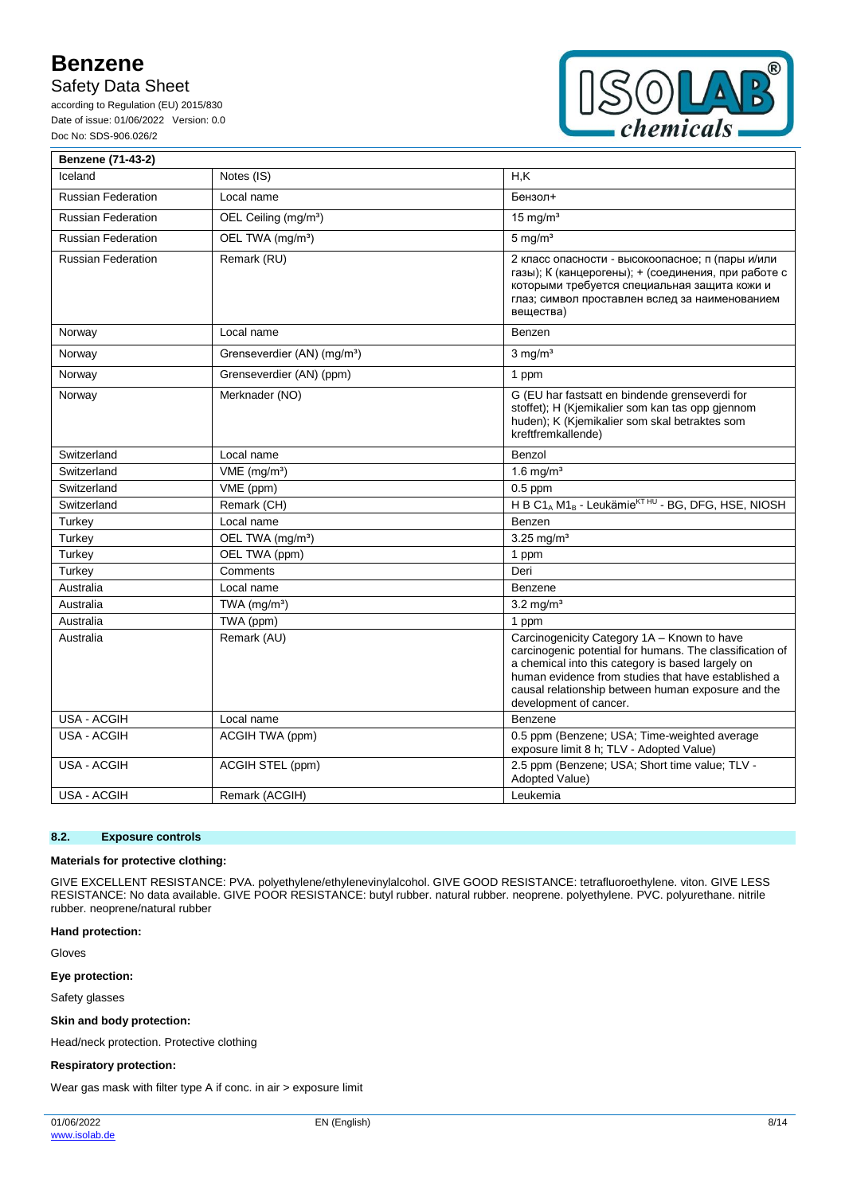## Safety Data Sheet

according to Regulation (EU) 2015/830 Date of issue: 01/06/2022 Version: 0.0 Doc No: SDS-906.026/2



| Benzene (71-43-2)         |                                         |                                                                                                                                                                                                                                                                                                     |
|---------------------------|-----------------------------------------|-----------------------------------------------------------------------------------------------------------------------------------------------------------------------------------------------------------------------------------------------------------------------------------------------------|
| Iceland                   | Notes (IS)                              | $H_{1}K$                                                                                                                                                                                                                                                                                            |
| <b>Russian Federation</b> | Local name                              | Бензол+                                                                                                                                                                                                                                                                                             |
| <b>Russian Federation</b> | OEL Ceiling (mg/m <sup>3</sup> )        | $15 \text{ mg/m}^3$                                                                                                                                                                                                                                                                                 |
| <b>Russian Federation</b> | OEL TWA (mg/m <sup>3</sup> )            | $5 \text{ mg/m}^3$                                                                                                                                                                                                                                                                                  |
| <b>Russian Federation</b> | Remark (RU)                             | 2 класс опасности - высокоопасное; п (пары и/или<br>газы); К (канцерогены); + (соединения, при работе с<br>которыми требуется специальная защита кожи и<br>глаз; символ проставлен вслед за наименованием<br>вещества)                                                                              |
| Norway                    | Local name                              | Benzen                                                                                                                                                                                                                                                                                              |
| Norway                    | Grenseverdier (AN) (mg/m <sup>3</sup> ) | $3 \text{ mg/m}^3$                                                                                                                                                                                                                                                                                  |
| Norway                    | Grenseverdier (AN) (ppm)                | 1 ppm                                                                                                                                                                                                                                                                                               |
| Norway                    | Merknader (NO)                          | G (EU har fastsatt en bindende grenseverdi for<br>stoffet); H (Kjemikalier som kan tas opp gjennom<br>huden); K (Kjemikalier som skal betraktes som<br>kreftfremkallende)                                                                                                                           |
| Switzerland               | Local name                              | Benzol                                                                                                                                                                                                                                                                                              |
| Switzerland               | VME (mg/m <sup>3</sup> )                | 1.6 mg/ $m3$                                                                                                                                                                                                                                                                                        |
| Switzerland               | VME (ppm)                               | $0.5$ ppm                                                                                                                                                                                                                                                                                           |
| Switzerland               | Remark (CH)                             | H B C1 <sub>A</sub> M1 <sub>B</sub> - Leukämie <sup>KT HU</sup> - BG, DFG, HSE, NIOSH                                                                                                                                                                                                               |
| Turkey                    | Local name                              | Benzen                                                                                                                                                                                                                                                                                              |
| Turkey                    | OEL TWA (mg/m <sup>3</sup> )            | $3.25$ mg/m <sup>3</sup>                                                                                                                                                                                                                                                                            |
| Turkey                    | OEL TWA (ppm)                           | 1 ppm                                                                                                                                                                                                                                                                                               |
| Turkey                    | Comments                                | Deri                                                                                                                                                                                                                                                                                                |
| Australia                 | Local name                              | Benzene                                                                                                                                                                                                                                                                                             |
| Australia                 | TWA $(mg/m3)$                           | $3.2$ mg/m <sup>3</sup>                                                                                                                                                                                                                                                                             |
| Australia                 | TWA (ppm)                               | 1 ppm                                                                                                                                                                                                                                                                                               |
| Australia                 | Remark (AU)                             | Carcinogenicity Category 1A - Known to have<br>carcinogenic potential for humans. The classification of<br>a chemical into this category is based largely on<br>human evidence from studies that have established a<br>causal relationship between human exposure and the<br>development of cancer. |
| USA - ACGIH               | Local name                              | Benzene                                                                                                                                                                                                                                                                                             |
| <b>USA - ACGIH</b>        | ACGIH TWA (ppm)                         | 0.5 ppm (Benzene; USA; Time-weighted average<br>exposure limit 8 h; TLV - Adopted Value)                                                                                                                                                                                                            |
| <b>USA - ACGIH</b>        | ACGIH STEL (ppm)                        | 2.5 ppm (Benzene; USA; Short time value; TLV -<br>Adopted Value)                                                                                                                                                                                                                                    |
| USA - ACGIH               | Remark (ACGIH)                          | Leukemia                                                                                                                                                                                                                                                                                            |

### **8.2. Exposure controls**

### **Materials for protective clothing:**

GIVE EXCELLENT RESISTANCE: PVA. polyethylene/ethylenevinylalcohol. GIVE GOOD RESISTANCE: tetrafluoroethylene. viton. GIVE LESS RESISTANCE: No data available. GIVE POOR RESISTANCE: butyl rubber. natural rubber. neoprene. polyethylene. PVC. polyurethane. nitrile rubber. neoprene/natural rubber

**Hand protection:**

Gloves

#### **Eye protection:**

Safety glasses

## **Skin and body protection:**

Head/neck protection. Protective clothing

### **Respiratory protection:**

Wear gas mask with filter type A if conc. in air > exposure limit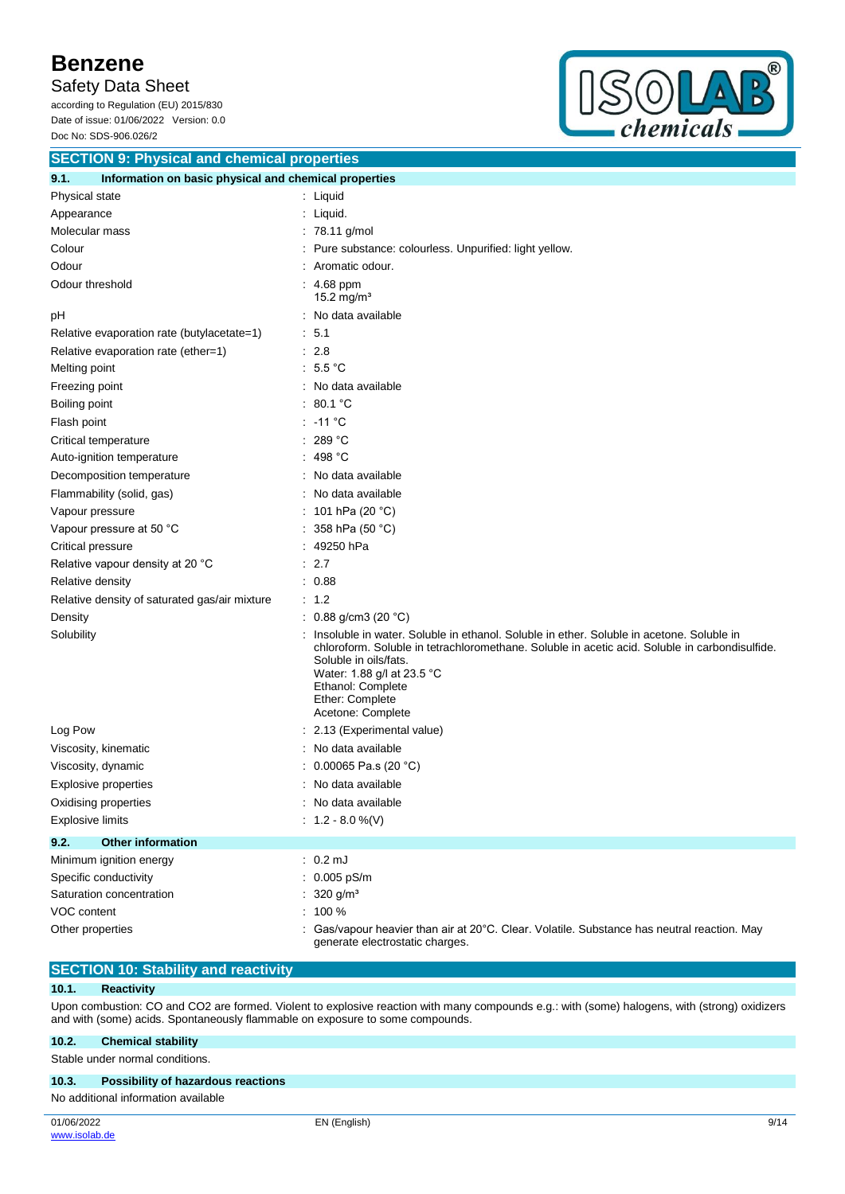# Safety Data Sheet

according to Regulation (EU) 2015/830 Date of issue: 01/06/2022 Version: 0.0 Doc No: SDS-906.026/2



| <b>SECTION 9: Physical and chemical properties</b>            |       |                                                                                                                                                                                                                                                                                                                |  |
|---------------------------------------------------------------|-------|----------------------------------------------------------------------------------------------------------------------------------------------------------------------------------------------------------------------------------------------------------------------------------------------------------------|--|
| Information on basic physical and chemical properties<br>9.1. |       |                                                                                                                                                                                                                                                                                                                |  |
| Physical state                                                |       | : Liquid                                                                                                                                                                                                                                                                                                       |  |
| Appearance                                                    |       | Liquid.                                                                                                                                                                                                                                                                                                        |  |
| Molecular mass                                                |       | : $78.11$ g/mol                                                                                                                                                                                                                                                                                                |  |
| Colour                                                        |       | Pure substance: colourless. Unpurified: light yellow.                                                                                                                                                                                                                                                          |  |
| Odour                                                         |       | Aromatic odour.                                                                                                                                                                                                                                                                                                |  |
| Odour threshold                                               |       | $\therefore$ 4.68 ppm<br>15.2 mg/m <sup>3</sup>                                                                                                                                                                                                                                                                |  |
| рH                                                            |       | : No data available                                                                                                                                                                                                                                                                                            |  |
| Relative evaporation rate (butylacetate=1)                    |       | 5.1                                                                                                                                                                                                                                                                                                            |  |
| Relative evaporation rate (ether=1)                           |       | 2.8                                                                                                                                                                                                                                                                                                            |  |
| Melting point                                                 |       | : 5.5 °C                                                                                                                                                                                                                                                                                                       |  |
| Freezing point                                                |       | : No data available                                                                                                                                                                                                                                                                                            |  |
| Boiling point                                                 |       | : 80.1 °C                                                                                                                                                                                                                                                                                                      |  |
| Flash point                                                   |       | $: -11$ °C                                                                                                                                                                                                                                                                                                     |  |
| Critical temperature                                          |       | 289 °C                                                                                                                                                                                                                                                                                                         |  |
| Auto-ignition temperature                                     |       | 498 °C                                                                                                                                                                                                                                                                                                         |  |
| Decomposition temperature                                     |       | No data available                                                                                                                                                                                                                                                                                              |  |
| Flammability (solid, gas)                                     |       | No data available                                                                                                                                                                                                                                                                                              |  |
| Vapour pressure                                               |       | 101 hPa (20 °C)                                                                                                                                                                                                                                                                                                |  |
| Vapour pressure at 50 °C                                      |       | 358 hPa (50 °C)                                                                                                                                                                                                                                                                                                |  |
| Critical pressure                                             |       | 49250 hPa                                                                                                                                                                                                                                                                                                      |  |
| Relative vapour density at 20 °C                              |       | 2.7                                                                                                                                                                                                                                                                                                            |  |
| Relative density                                              |       | : 0.88                                                                                                                                                                                                                                                                                                         |  |
| Relative density of saturated gas/air mixture                 |       | : 1.2                                                                                                                                                                                                                                                                                                          |  |
| Density                                                       |       | : $0.88$ g/cm3 (20 °C)                                                                                                                                                                                                                                                                                         |  |
| Solubility                                                    |       | Insoluble in water. Soluble in ethanol. Soluble in ether. Soluble in acetone. Soluble in<br>chloroform. Soluble in tetrachloromethane. Soluble in acetic acid. Soluble in carbondisulfide.<br>Soluble in oils/fats.<br>Water: 1.88 g/l at 23.5 °C<br>Ethanol: Complete<br>Ether: Complete<br>Acetone: Complete |  |
| Log Pow                                                       |       | : 2.13 (Experimental value)                                                                                                                                                                                                                                                                                    |  |
| Viscosity, kinematic                                          |       | : No data available                                                                                                                                                                                                                                                                                            |  |
| Viscosity, dynamic                                            |       | : 0.00065 Pa.s (20 °C)                                                                                                                                                                                                                                                                                         |  |
| <b>Explosive properties</b>                                   |       | : No data available                                                                                                                                                                                                                                                                                            |  |
| Oxidising properties                                          |       | : No data available                                                                                                                                                                                                                                                                                            |  |
| <b>Explosive limits</b>                                       |       | : $1.2 - 8.0 \%$ (V)                                                                                                                                                                                                                                                                                           |  |
| 9.2.<br><b>Other information</b>                              |       |                                                                                                                                                                                                                                                                                                                |  |
| Minimum ignition energy                                       |       | $: 0.2 \text{ mJ}$                                                                                                                                                                                                                                                                                             |  |
| Specific conductivity                                         |       | $0.005$ pS/m                                                                                                                                                                                                                                                                                                   |  |
| Saturation concentration                                      |       | 320 g/m <sup>3</sup>                                                                                                                                                                                                                                                                                           |  |
| VOC content                                                   | 100 % |                                                                                                                                                                                                                                                                                                                |  |
| Other properties                                              |       | Gas/vapour heavier than air at 20°C. Clear. Volatile. Substance has neutral reaction. May<br>generate electrostatic charges.                                                                                                                                                                                   |  |

## **SECTION 10: Stability and reactivity**

## **10.1. Reactivity**

Upon combustion: CO and CO2 are formed. Violent to explosive reaction with many compounds e.g.: with (some) halogens, with (strong) oxidizers and with (some) acids. Spontaneously flammable on exposure to some compounds.

## **10.2. Chemical stability**

Stable under normal conditions.

## **10.3. Possibility of hazardous reactions**

No additional information available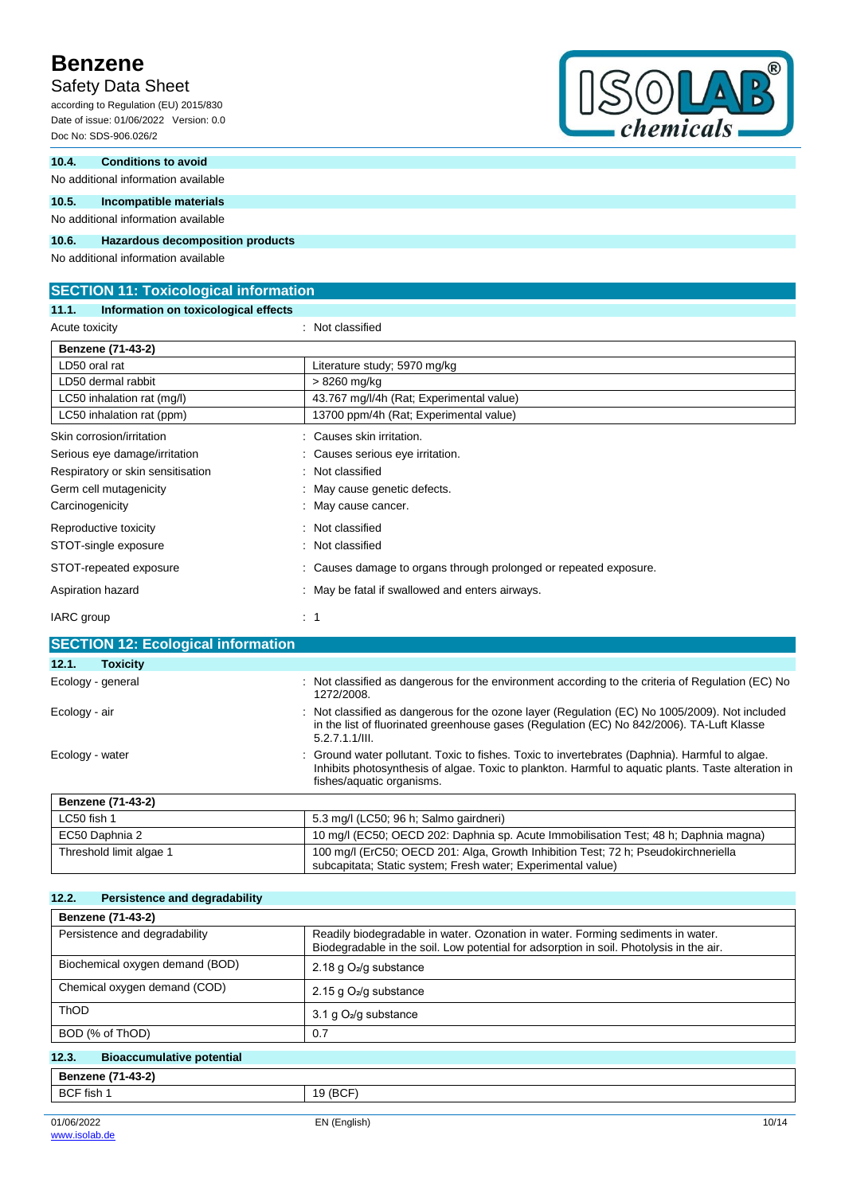# Safety Data Sheet

according to Regulation (EU) 2015/830 Date of issue: 01/06/2022 Version: 0.0 Doc No: SDS-906.026/2



| 10.4. | <b>Conditions to avoid</b>          |
|-------|-------------------------------------|
|       | No additional information available |
| 10.5. | Incompatible materials              |
|       | No additional information available |
| 10.6. | Hazardous decomposition products    |

No additional information available

| <b>SECTION 11: Toxicological information</b>  |                                                                 |  |  |
|-----------------------------------------------|-----------------------------------------------------------------|--|--|
| Information on toxicological effects<br>11.1. |                                                                 |  |  |
| Acute toxicity                                | : Not classified                                                |  |  |
| <b>Benzene (71-43-2)</b>                      |                                                                 |  |  |
| LD50 oral rat                                 | Literature study; 5970 mg/kg                                    |  |  |
| LD50 dermal rabbit                            | > 8260 mg/kg                                                    |  |  |
| LC50 inhalation rat (mg/l)                    | 43.767 mg/l/4h (Rat; Experimental value)                        |  |  |
| LC50 inhalation rat (ppm)                     | 13700 ppm/4h (Rat; Experimental value)                          |  |  |
| Skin corrosion/irritation                     | Causes skin irritation.                                         |  |  |
| Serious eye damage/irritation                 | Causes serious eye irritation.                                  |  |  |
| Respiratory or skin sensitisation<br>÷        | Not classified                                                  |  |  |
| Germ cell mutagenicity                        | May cause genetic defects.                                      |  |  |
| Carcinogenicity                               | May cause cancer.                                               |  |  |
| Reproductive toxicity                         | : Not classified                                                |  |  |
| STOT-single exposure                          | Not classified                                                  |  |  |
| STOT-repeated exposure                        | Causes damage to organs through prolonged or repeated exposure. |  |  |
| Aspiration hazard                             | : May be fatal if swallowed and enters airways.                 |  |  |
| IARC group                                    | : 1                                                             |  |  |

| <b>SECTION 12: Ecological information</b> |                                                                                                                                                                                                                                    |
|-------------------------------------------|------------------------------------------------------------------------------------------------------------------------------------------------------------------------------------------------------------------------------------|
| 12.1.<br><b>Toxicity</b>                  |                                                                                                                                                                                                                                    |
| Ecology - general                         | : Not classified as dangerous for the environment according to the criteria of Regulation (EC) No<br>1272/2008.                                                                                                                    |
| Ecology - air                             | : Not classified as dangerous for the ozone layer (Regulation (EC) No 1005/2009). Not included<br>in the list of fluorinated greenhouse gases (Regulation (EC) No 842/2006). TA-Luft Klasse<br>5.2.7.1.1/III.                      |
| Ecology - water                           | : Ground water pollutant. Toxic to fishes. Toxic to invertebrates (Daphnia). Harmful to algae.<br>Inhibits photosynthesis of algae. Toxic to plankton. Harmful to aguatic plants. Taste alteration in<br>fishes/aquatic organisms. |
| Benzene (71-43-2)                         |                                                                                                                                                                                                                                    |
| LC50 fish 1                               | 5.3 mg/l (LC50; 96 h; Salmo gairdneri)                                                                                                                                                                                             |
| EC50 Daphnia 2                            | 10 mg/l (EC50; OECD 202: Daphnia sp. Acute Immobilisation Test; 48 h; Daphnia magna)                                                                                                                                               |
| Threshold limit algae 1                   | 100 mg/l (ErC50; OECD 201: Alga, Growth Inhibition Test; 72 h; Pseudokirchneriella<br>subcapitata; Static system; Fresh water; Experimental value)                                                                                 |

## **12.2. Persistence and degradability**

| <b>Benzene (71-43-2)</b>                  |                                                                                                                                                                            |
|-------------------------------------------|----------------------------------------------------------------------------------------------------------------------------------------------------------------------------|
| Persistence and degradability             | Readily biodegradable in water. Ozonation in water. Forming sediments in water.<br>Biodegradable in the soil. Low potential for adsorption in soil. Photolysis in the air. |
| Biochemical oxygen demand (BOD)           | 2.18 g $O_2$ /g substance                                                                                                                                                  |
| Chemical oxygen demand (COD)              | 2.15 g $O_2$ /g substance                                                                                                                                                  |
| ThOD                                      | 3.1 g $O_2$ /g substance                                                                                                                                                   |
| BOD (% of ThOD)                           | 0.7                                                                                                                                                                        |
| 12.3.<br><b>Bioaccumulative potential</b> |                                                                                                                                                                            |
| <b>Benzene (71-43-2)</b>                  |                                                                                                                                                                            |
| BCF fish 1                                | 19 (BCF)                                                                                                                                                                   |
|                                           |                                                                                                                                                                            |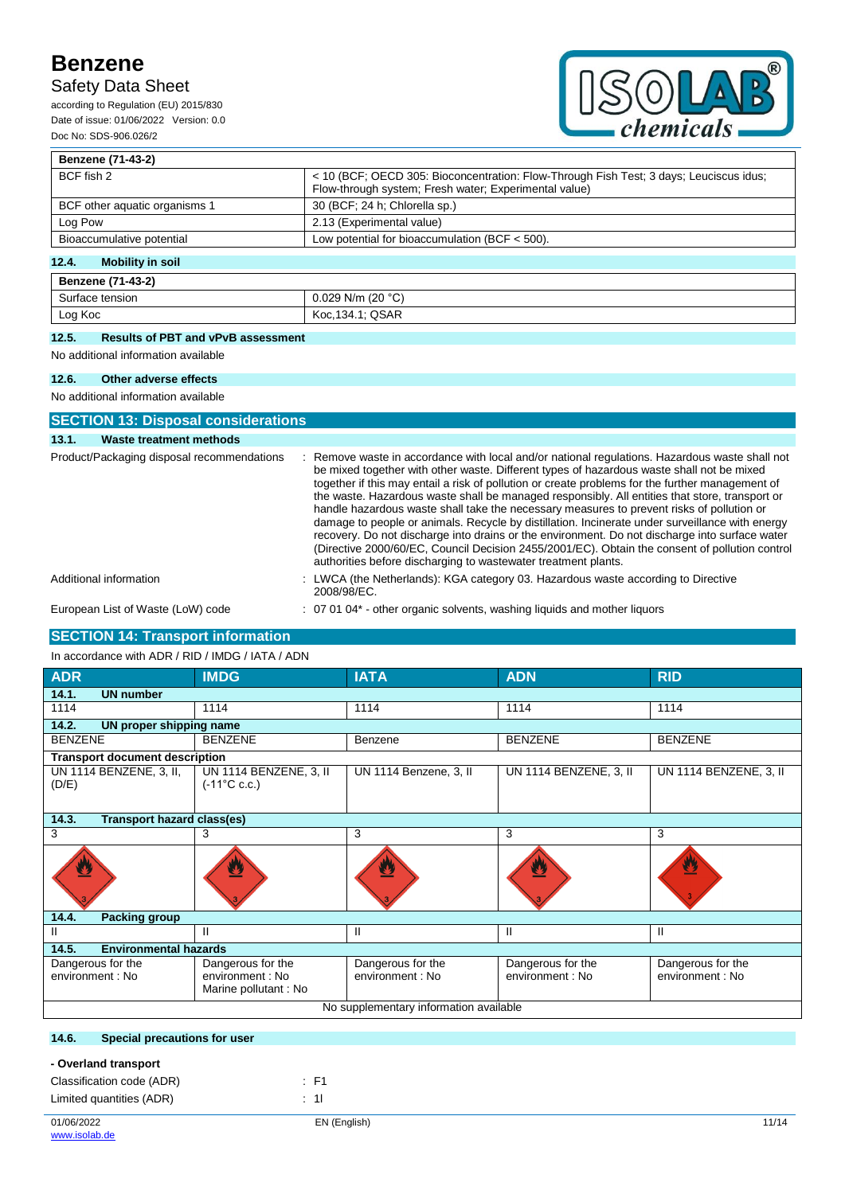## Safety Data Sheet

according to Regulation (EU) 2015/830 Date of issue: 01/06/2022 Version: 0.0 Doc No: SDS-906.026/2



**Benzene (71-43-2)**

| $001160110111 - 0241$         |                                                                                                                                                 |  |
|-------------------------------|-------------------------------------------------------------------------------------------------------------------------------------------------|--|
| BCF fish 2                    | < 10 (BCF; OECD 305: Bioconcentration: Flow-Through Fish Test; 3 days; Leuciscus idus;<br>Flow-through system; Fresh water; Experimental value) |  |
| BCF other aquatic organisms 1 | 30 (BCF; 24 h; Chlorella sp.)                                                                                                                   |  |
| Log Pow                       | 2.13 (Experimental value)                                                                                                                       |  |
| Bioaccumulative potential     | Low potential for bioaccumulation (BCF $<$ 500).                                                                                                |  |

## **12.4. Mobility in soil**

| <b>Benzene (71-43-2)</b> |                        |  |
|--------------------------|------------------------|--|
| Surface tension          | N/m (20 °C)<br>0.029   |  |
| Log Koc                  | QSAR<br>$Koc, 134.1$ ; |  |

### **12.5. Results of PBT and vPvB assessment**

No additional information available

### **12.6. Other adverse effects**

No additional information available

| <b>SECTION 13: Disposal considerations</b> |                                                                                                                                                                                                                                                                                                                                                                                                                                                                                                                                                                                                                                                                                                                                                                                                                                                                         |
|--------------------------------------------|-------------------------------------------------------------------------------------------------------------------------------------------------------------------------------------------------------------------------------------------------------------------------------------------------------------------------------------------------------------------------------------------------------------------------------------------------------------------------------------------------------------------------------------------------------------------------------------------------------------------------------------------------------------------------------------------------------------------------------------------------------------------------------------------------------------------------------------------------------------------------|
| Waste treatment methods<br>13.1.           |                                                                                                                                                                                                                                                                                                                                                                                                                                                                                                                                                                                                                                                                                                                                                                                                                                                                         |
| Product/Packaging disposal recommendations | : Remove waste in accordance with local and/or national regulations. Hazardous waste shall not<br>be mixed together with other waste. Different types of hazardous waste shall not be mixed<br>together if this may entail a risk of pollution or create problems for the further management of<br>the waste. Hazardous waste shall be managed responsibly. All entities that store, transport or<br>handle hazardous waste shall take the necessary measures to prevent risks of pollution or<br>damage to people or animals. Recycle by distillation. Incinerate under surveillance with energy<br>recovery. Do not discharge into drains or the environment. Do not discharge into surface water<br>(Directive 2000/60/EC, Council Decision 2455/2001/EC). Obtain the consent of pollution control<br>authorities before discharging to wastewater treatment plants. |
| Additional information                     | : LWCA (the Netherlands): KGA category 03. Hazardous waste according to Directive<br>2008/98/EC.                                                                                                                                                                                                                                                                                                                                                                                                                                                                                                                                                                                                                                                                                                                                                                        |
| European List of Waste (LoW) code          | : 07 01 04* - other organic solvents, washing liquids and mother liquors                                                                                                                                                                                                                                                                                                                                                                                                                                                                                                                                                                                                                                                                                                                                                                                                |

## **SECTION 14: Transport information**

#### In accordance with ADR / RID / IMDG / IATA / ADN

| <b>ADR</b>                                 | <b>IMDG</b>                                                   | <b>IATA</b>                          | <b>ADN</b>                            | <b>RID</b>                            |  |
|--------------------------------------------|---------------------------------------------------------------|--------------------------------------|---------------------------------------|---------------------------------------|--|
| 14.1.<br><b>UN number</b>                  |                                                               |                                      |                                       |                                       |  |
| 1114                                       | 1114                                                          | 1114                                 | 1114                                  | 1114                                  |  |
| UN proper shipping name<br>14.2.           |                                                               |                                      |                                       |                                       |  |
| <b>BENZENE</b>                             | <b>BENZENE</b>                                                | Benzene                              | <b>BENZENE</b>                        | <b>BENZENE</b>                        |  |
| <b>Transport document description</b>      |                                                               |                                      |                                       |                                       |  |
| UN 1114 BENZENE, 3, II,<br>(D/E)           | UN 1114 BENZENE, 3, II<br>$(-11^{\circ}C \csc.)$              | UN 1114 Benzene, 3, II               | UN 1114 BENZENE, 3, II                | UN 1114 BENZENE, 3, II                |  |
| 14.3.<br><b>Transport hazard class(es)</b> |                                                               |                                      |                                       |                                       |  |
| 3                                          | 3                                                             | 3                                    | 3                                     | 3                                     |  |
| $\mathbf{u}$                               | $\overline{\mathbf{a}}$                                       | ئطا                                  | $\mathbf{u}$                          | U<br>3                                |  |
| 14.4.<br><b>Packing group</b>              |                                                               |                                      |                                       |                                       |  |
| Ш                                          | Ш                                                             | Ш                                    | Ш                                     | Ш                                     |  |
| <b>Environmental hazards</b><br>14.5.      |                                                               |                                      |                                       |                                       |  |
| Dangerous for the<br>environment : No      | Dangerous for the<br>environment : No<br>Marine pollutant: No | Dangerous for the<br>environment: No | Dangerous for the<br>environment : No | Dangerous for the<br>environment : No |  |
| No supplementary information available     |                                                               |                                      |                                       |                                       |  |

## **14.6. Special precautions for user**

### **- Overland transport**

| Classification code (ADR) | : F1 |
|---------------------------|------|
| Limited quantities (ADR)  | : 11 |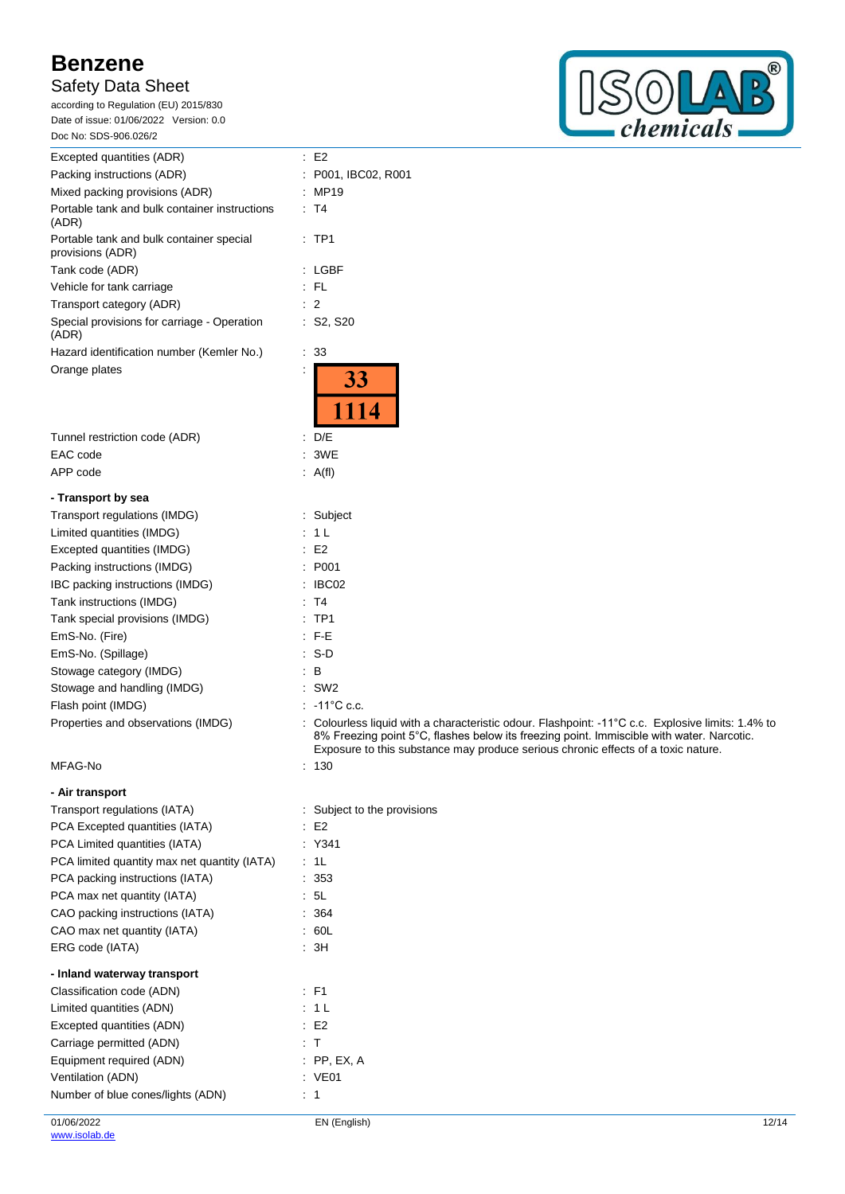# Safety Data Sheet

according to Regulation (EU) 2015/830 Date of issue: 01/06/2022 Version: 0.0 Doc No: SDS-906.026/2



| ב וטבעטיסטער וויטע                                           |                                                                                                                                                                                                                                                                                     |
|--------------------------------------------------------------|-------------------------------------------------------------------------------------------------------------------------------------------------------------------------------------------------------------------------------------------------------------------------------------|
| Excepted quantities (ADR)                                    | E2                                                                                                                                                                                                                                                                                  |
| Packing instructions (ADR)                                   | : P001, IBC02, R001                                                                                                                                                                                                                                                                 |
| Mixed packing provisions (ADR)                               | : MP19                                                                                                                                                                                                                                                                              |
| Portable tank and bulk container instructions<br>(ADR)       | : T4                                                                                                                                                                                                                                                                                |
| Portable tank and bulk container special<br>provisions (ADR) | : TP1                                                                                                                                                                                                                                                                               |
| Tank code (ADR)                                              | : LGBF                                                                                                                                                                                                                                                                              |
| Vehicle for tank carriage                                    | : FL                                                                                                                                                                                                                                                                                |
| Transport category (ADR)                                     | $\therefore$ 2                                                                                                                                                                                                                                                                      |
| Special provisions for carriage - Operation<br>(ADR)         | : S2, S20                                                                                                                                                                                                                                                                           |
| Hazard identification number (Kemler No.)                    | : 33                                                                                                                                                                                                                                                                                |
| Orange plates                                                | <b>33</b><br>1114                                                                                                                                                                                                                                                                   |
| Tunnel restriction code (ADR)                                | $\therefore$ D/E                                                                                                                                                                                                                                                                    |
| EAC code                                                     | : 3WE                                                                                                                                                                                                                                                                               |
| APP code                                                     | : A(f)                                                                                                                                                                                                                                                                              |
| - Transport by sea                                           |                                                                                                                                                                                                                                                                                     |
| Transport regulations (IMDG)                                 | : Subject                                                                                                                                                                                                                                                                           |
| Limited quantities (IMDG)                                    | : 1 L                                                                                                                                                                                                                                                                               |
| Excepted quantities (IMDG)                                   | : E2                                                                                                                                                                                                                                                                                |
| Packing instructions (IMDG)                                  | : P001                                                                                                                                                                                                                                                                              |
| IBC packing instructions (IMDG)                              | : IBCO2                                                                                                                                                                                                                                                                             |
| Tank instructions (IMDG)                                     | : T4                                                                                                                                                                                                                                                                                |
| Tank special provisions (IMDG)                               | : TP1                                                                                                                                                                                                                                                                               |
| EmS-No. (Fire)                                               | : F-E                                                                                                                                                                                                                                                                               |
| EmS-No. (Spillage)                                           | : S-D                                                                                                                                                                                                                                                                               |
| Stowage category (IMDG)                                      | $\therefore$ B                                                                                                                                                                                                                                                                      |
| Stowage and handling (IMDG)                                  | $:$ SW2                                                                                                                                                                                                                                                                             |
| Flash point (IMDG)                                           | $\therefore$ -11°C c.c.                                                                                                                                                                                                                                                             |
| Properties and observations (IMDG)                           | : Colourless liquid with a characteristic odour. Flashpoint: -11°C c.c. Explosive limits: 1.4% to<br>8% Freezing point 5°C, flashes below its freezing point. Immiscible with water. Narcotic.<br>Exposure to this substance may produce serious chronic effects of a toxic nature. |
| MFAG-No                                                      | : 130                                                                                                                                                                                                                                                                               |
| - Air transport                                              |                                                                                                                                                                                                                                                                                     |
| Transport regulations (IATA)                                 | : Subject to the provisions                                                                                                                                                                                                                                                         |
| PCA Excepted quantities (IATA)                               | $\cdot$ E2                                                                                                                                                                                                                                                                          |
| PCA Limited quantities (IATA)                                | : Y341                                                                                                                                                                                                                                                                              |
| PCA limited quantity max net quantity (IATA)                 | : 1L                                                                                                                                                                                                                                                                                |
| PCA packing instructions (IATA)                              | : 353                                                                                                                                                                                                                                                                               |
| PCA max net quantity (IATA)                                  | : 5L                                                                                                                                                                                                                                                                                |
| CAO packing instructions (IATA)                              | : 364                                                                                                                                                                                                                                                                               |
| CAO max net quantity (IATA)                                  | : 60L                                                                                                                                                                                                                                                                               |
| ERG code (IATA)                                              | : 3H                                                                                                                                                                                                                                                                                |
| - Inland waterway transport                                  |                                                                                                                                                                                                                                                                                     |
| Classification code (ADN)                                    | : F1                                                                                                                                                                                                                                                                                |
| Limited quantities (ADN)                                     | : 1L                                                                                                                                                                                                                                                                                |
| Excepted quantities (ADN)                                    | $\therefore$ E2                                                                                                                                                                                                                                                                     |
| Carriage permitted (ADN)                                     | : T                                                                                                                                                                                                                                                                                 |
| Equipment required (ADN)                                     | : PP, EX, A                                                                                                                                                                                                                                                                         |
| Ventilation (ADN)                                            | : VE01                                                                                                                                                                                                                                                                              |

Number of blue cones/lights (ADN) : 1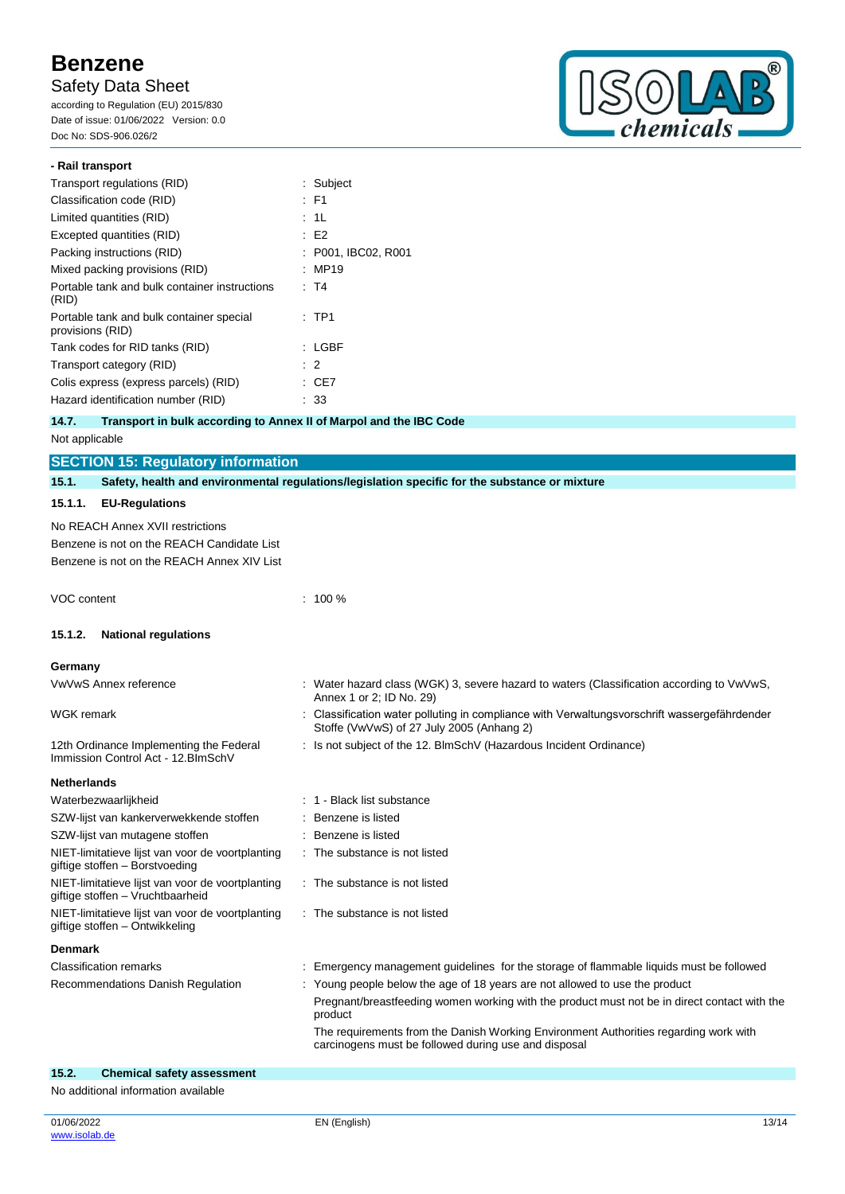## Safety Data Sheet

according to Regulation (EU) 2015/830 Date of issue: 01/06/2022 Version: 0.0 Doc No: SDS-906.026/2



#### **- Rail transport**

| Transport regulations (RID)                                  | : Subject           |
|--------------------------------------------------------------|---------------------|
| Classification code (RID)                                    | $E = F1$            |
| Limited quantities (RID)                                     | : 1L                |
| Excepted quantities (RID)                                    | E2                  |
| Packing instructions (RID)                                   | : P001. IBC02. R001 |
| Mixed packing provisions (RID)                               | : MP19              |
| Portable tank and bulk container instructions<br>(RID)       | : T4                |
| Portable tank and bulk container special<br>provisions (RID) | $:$ TP1             |
| Tank codes for RID tanks (RID)                               | : LGBF              |
| Transport category (RID)                                     | $\therefore$ 2      |
| Colis express (express parcels) (RID)                        | : CE7               |
| Hazard identification number (RID)                           | : 33                |
|                                                              |                     |

#### **14.7. Transport in bulk according to Annex II of Marpol and the IBC Code**

Not applicable

**SECTION 15: Regulatory information**

#### **15.1. Safety, health and environmental regulations/legislation specific for the substance or mixture**

### **15.1.1. EU-Regulations**

No REACH Annex XVII restrictions Benzene is not on the REACH Candidate List Benzene is not on the REACH Annex XIV List

VOC content : 100 %

#### **15.1.2. National regulations**

#### **Germany**

| : Water hazard class (WGK) 3, severe hazard to waters (Classification according to VwVwS,<br>Annex 1 or 2; ID No. 29)                     |
|-------------------------------------------------------------------------------------------------------------------------------------------|
| : Classification water polluting in compliance with Verwaltungsvorschrift wassergefährdender<br>Stoffe (VwVwS) of 27 July 2005 (Anhang 2) |
| : Is not subject of the 12. BlmSchV (Hazardous Incident Ordinance)                                                                        |
|                                                                                                                                           |
| : 1 - Black list substance                                                                                                                |
| : Benzene is listed                                                                                                                       |
| : Benzene is listed                                                                                                                       |
| : The substance is not listed                                                                                                             |
| : The substance is not listed                                                                                                             |
| : The substance is not listed                                                                                                             |
|                                                                                                                                           |
|                                                                                                                                           |

#### **Denmark**

Classification remarks **interpretent in the storagement** guidelines for the storage of flammable liquids must be followed Recommendations Danish Regulation : Young people below the age of 18 years are not allowed to use the product

> Pregnant/breastfeeding women working with the product must not be in direct contact with the product

The requirements from the Danish Working Environment Authorities regarding work with carcinogens must be followed during use and disposal

| 15.2. | <b>Chemical safety assessment</b>   |
|-------|-------------------------------------|
|       | No additional information available |
|       |                                     |